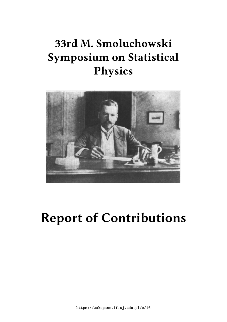# **33rd M. Smoluchowski Symposium on Statistical Physics**



# **Report of Contributions**

https://zakopane.if.uj.edu.pl/e/16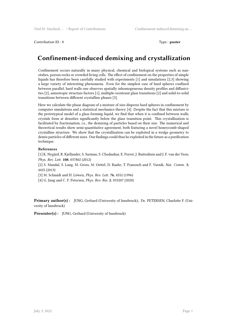Contribution ID : **1** Type : **poster**

# **Confinement-induced demixing and crystallization**

Confinement occurs naturally in many physical, chemical and biological systems such as nanotubes, porous rocks or crowded living cells. The effect of confinement on the properties of simple liquids has therefore been carefully studied with experiments [1] and simulations [2,3] showing a large variety of interesting phenomena. Even for the simplest case of hard spheres confined between parallel, hard walls one observes spatially inhomogeneous density profiles and diffusivities [2], anisotropic structure factors [1], multiple-reentrant glass transitions [2] and solid-to-solid transitions between different crystalline phases [3].

Here we calculate the phase diagram of a mixture of size-disperse hard spheres in confinement by computer simulations and a statistical mechanics theory [4]. Despite the fact that this mixture is the prototypical model of a glass forming liquid, we find that when it is confined between walls, crystals form at densities significantly below the glass transition point. This crystallization is facilitated by fractionation, i.e., the demixing of particles based on their size. The numerical and theoretical results show semi-quantitative agreement, both featuring a novel honeycomb-shaped crystalline structure. We show that the crystallization can be exploited in a wedge geometry to demix particles of different sizes. Our findings could thus be exploited in the future as a purification technique.

#### **References**

[1] K. Nygård, R. Kjellander, S. Sarman, S. Chodankar, E. Perret, J. Buitenhuis and J. F. van der Veen, *Phys. Rev. Lett.* **108**, 037802 (2012)

[2] S. Mandal, S. Lang, M. Gross, M. Oettel, D. Raabe, T. Franosch and F. Varnik, *Nat. Comm.* **5**, 4435 (2013)

[3] M. Schmidt and H. Löwen, *Phys. Rev. Lett.* **76**, 4552 (1996)

[4] G. Jung and C. F. Petersen, *Phys. Rev. Res.* **2**, 033207 (2020)

**Primary author(s) :** JUNG, Gerhard (University of Innsbruck); Dr. PETERSEN, Charlotte F. (Univerity of Innsbruck)

**Presenter(s) :** JUNG, Gerhard (University of Innsbruck)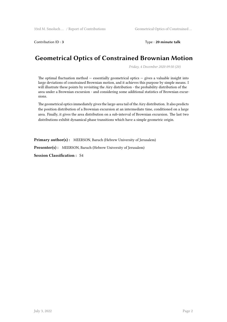Contribution ID : **3** Type : **20 minute talk**

# **Geometrical Optics of Constrained Brownian Motion**

*Friday, 4 December 2020 09:50 (20)*

The optimal fluctuation method  $-$  essentially geometrical optics  $-$  gives a valuable insight into large deviations of constrained Brownian motion, and it achieves this purpose by simple means. I will illustrate these points by revisiting the Airy distribution - the probability distribution of the area under a Brownian excursion - and considering some additional statistics of Brownian excursions.

The geometrical optics immediately gives the large-area tail of the Airy distribution. It also predicts the position distribution of a Brownian excursion at an intermediate time, conditioned on a large area. Finally, it gives the area distribution on a sub-interval of Brownian excursion. The last two distributions exhibit dynamical phase transitions which have a simple geometric origin.

Primary author(s): MEERSON, Baruch (Hebrew University of Jerusalem)

**Presenter(s) :** MEERSON, Baruch (Hebrew University of Jerusalem)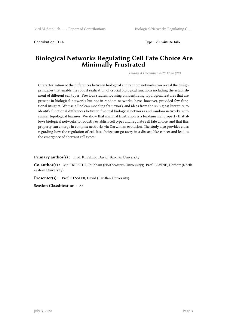Contribution ID : **4** Type : **20 minute talk**

#### **Biological Networks Regulating Cell Fate Choice Are Minimally Frustrated**

*Friday, 4 December 2020 17:20 (20)*

Characterization of the differences between biological and random networks can reveal the design principles that enable the robust realization of crucial biological functions including the establishment of different cell types. Previous studies, focusing on identifying topological features that are present in biological networks but not in random networks, have, however, provided few functional insights. We use a Boolean modeling framework and ideas from the spin glass literature to identify functional differences between five real biological networks and random networks with similar topological features. We show that minimal frustration is a fundamental property that allows biological networks to robustly establish cell types and regulate cell fate choice, and that this property can emerge in complex networks via Darwinian evolution. The study also provides clues regarding how the regulation of cell fate choice can go awry in a disease like cancer and lead to the emergence of aberrant cell types.

Primary author(s): Prof. KESSLER, David (Bar-Ilan University)

**Co-author(s) :** Mr. TRIPATHI, Shubham (Northeastern University); Prof. LEVINE, Herbert (Northeastern University)

**Presenter(s) :** Prof. KESSLER, David (Bar-Ilan University)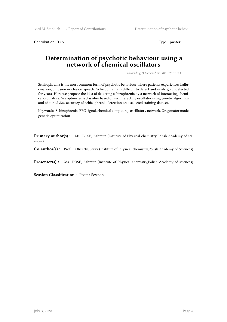Contribution ID : **5** Type : **poster** 

#### **Determination of psychotic behaviour using a network of chemical oscillators**

*Thursday, 3 December 2020 18:21 (1)*

Schizophrenia is the most common form of psychotic behaviour where patients experiences hallucination, dillusion or chaotic speech. Schizophrenia is difficult to detect and easily go undetected for years. Here we propose the idea of detecting schizophrenia by a network of interacting chemical oscillators. We optimized a classifier based on six interacting oscillator using genetic algorithm and obtained 82% accuracy of schizophrenia detection on a selected training dataset.

Keywords: Schizophrenia, EEG signal, chemical computing, oscillatory network, Oregonator model, genetic optimization

**Primary author(s) :** Ms. BOSE, Ashmita (Institute of Physical chemistry, Polish Academy of sciences)

**Co-author(s) :** Prof. GORECKI, Jerzy (Institute of Physical chemistry,Polish Academy of Sciences)

Presenter(s) : Ms. BOSE, Ashmita (Institute of Physical chemistry,Polish Academy of sciences)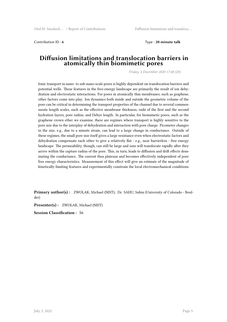Contribution ID : **6** Type : **20 minute talk**

#### **Diffusion limitations and translocation barriers in atomically thin biomimetic pores**

*Friday, 4 December 2020 17:40 (20)*

Ionic transport in nano- to sub-nano-scale pores is highly dependent on translocation barriers and potential wells. These features in the free-energy landscape are primarily the result of ion dehydration and electrostatic interactions. For pores in atomically thin membranes, such as graphene, other factors come into play. Ion dynamics both inside and outside the geometric volume of the pore can be critical in determining the transport properties of the channel due to several commensurate length scales, such as the effective membrane thickness, radii of the first and the second hydration layers, pore radius, and Debye length. In particular, for biomimetic pores, such as the graphene crown ether we examine, there are regimes where transport is highly sensitive to the pore size due to the interplay of dehydration and interaction with pore charge. Picometer changes in the size, e.g., due to a minute strain, can lead to a large change in conductance. Outside of these regimes, the small pore size itself gives a large resistance even when electrostatic factors and dehydration compensate each other to give a relatively flat - e.g., near barrierless - free energy landscape. The permeability, though, can still be large and ions will translocate rapidly after they arrive within the capture radius of the pore. This, in turn, leads to diffusion and drift effects dominating the conductance. The current thus plateaus and becomes effectively independent of pore free energy characteristics. Measurement of this effect will give an estimate of the magnitude of kinetically-limiting features and experimentally constrain the local electromechanical conditions.

**Primary author(s) :** ZWOLAK, Michael (NIST); Dr. SAHU, Subin (University of Colorado - Boulder)

**Presenter(s) :** ZWOLAK, Michael (NIST)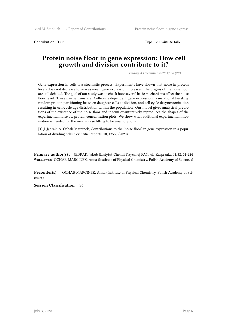Contribution ID : **7** Type : **20 minute talk**

### **Protein noise floor in gene expression: How cell growth and division contribute to it?**

*Friday, 4 December 2020 17:00 (20)*

Gene expression in cells is a stochastic process. Experiments have shown that noise in protein levels does not decrease to zero as mean gene expression increases. The origins of the noise floor are still debated. The goal of our study was to check how several basic mechanisms affect the noise floor level. These mechanisms are: Cell-cycle dependent gene expression, translational bursting, random protein partitioning between daughter cells at division, and cell cycle desynchronization resulting in cell-cycle age distribution within the population. Our model gives analytical predictions of the existence of the noise floor and it semi-quantitatively reproduces the shapes of the experimental noise vs. protein concentration plots. We show what additional experimental information is needed for the mean-noise fitting to be unambiguous.

[1] J. Jędrak, A. Ochab-Marcinek, Contributions to the 'noise floor' in gene expression in a population of dividing cells, Scientific Reports, 10, 13533 (2020)

**Primary author(s) :** JĘDRAK, Jakub (Instytut Chemii Fizycznej PAN, ul. Kasprzaka 44/52, 01-224 Warszawa); OCHAB-MARCINEK, Anna (Institute of Physical Chemistry, Polish Academy of Sciences)

**Presenter(s) :** OCHAB-MARCINEK, Anna (Institute of Physical Chemistry, Polish Academy of Sciences)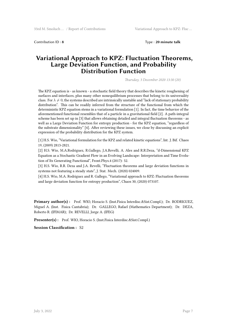Contribution ID : **8** Type : **20 minute talk**

#### **Variational Approach to KPZ: Fluctuation Theorems, Large Deviation Function, and Probability Distribution Function**

*Thursday, 3 December 2020 13:30 (20)*

The KPZ equation is - as known - a stochastic field theory that describes the kinetic roughening of surfaces and interfaces, plus many other nonequilibrium processes that belong to its universality class. For  $\lambda \neq 0$ , the systems described are intrinsically unstable and "lack of stationary probability" distribution". This can be readily inferred from the structure of the functional from which the deterministic KPZ equation stems in a variational formulation [1]. In fact, the time behavior of the aforementioned functional resembles that of a particle in a gravitational field [2]. A path-integral scheme has been set up in [3] that allows obtaining detailed and integral fluctuation theorems - as well as a Large Deviation Function for entropy production - for the KPZ equation, "regardless of the substrate dimensionality" [4]. After reviewing these issues, we close by discussing an explicit expression of the probability distribution for the KPZ system.

[1] H.S. Wio, "Variational formulation for the KPZ and related kinetic equations", Int. J. Bif. Chaos 19, (2009) 2813-2821.

[2] H.S. Wio, M.A.Rodriguez, R.Gallego, J.A.Revelli, A. Ales and R.R.Deza, "d-Dimensional KPZ Equation as a Stochastic Gradient Flow in an Evolving Landscape: Interpretation and Time Evolution of Its Generating Functional", Front.Phys.4 (2017): 52.

[3] H.S. Wio, R.R. Deza and J.A. Revelli, "Fluctuation theorems and large deviation functions in systems not featuring a steady state", J. Stat. Mech. (2020) 024009.

[4] H.S. Wio, M.A. Rodriguez and R. Gallego, "Variational approach to KPZ: Fluctuation theorems and large deviation function for entropy production", Chaos 30, (2020) 073107.

**Primary author(s) :** Prof. WIO, Horacio S. (Inst.Fisica Interdisc.&Sist.Compl.); Dr. RODRIGUEZ, Miguel A. (Inst. Fisica Cantabria); Dr. GALLEGO, Rafael (Mathematics Department); Dr. DEZA, Roberto R. (IFIMAR); Dr. REVELLI, Jorge A. (IFEG)

**Presenter(s) :** Prof. WIO, Horacio S. (Inst.Fisica Interdisc.&Sist.Compl.)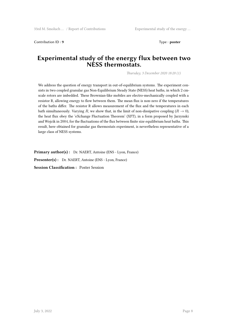Contribution ID : 9 Type : **poster** 

#### **Experimental study of the energy flux between two NESS thermostats.**

*Thursday, 3 December 2020 18:20 (1)*

We address the question of energy transport in out-of-equilibrium systems. The experiment consists in two coupled granular gas Non-Equilibrium Steady State (NESS) heat baths, in which 2 cmscale rotors are imbedded. These Brownian-like mobiles are electro-mechanically coupled with a resistor R, allowing energy to flow between them. The mean flux is non-zero if the temperatures of the baths differ. The resistor R allows measurement of the flux and the temperatures in each bath simultaneously. Varying *R*, we show that, in the limit of non-dissipative coupling  $(R \to 0)$ , the heat flux obey the 'eXchange Fluctuation Theorem' (XFT), in a form proposed by Jarzynski and Wojcik in 2004, for the fluctuations of the flux between finite size equilibrium heat baths. This result, here obtained for granular gas thermostats experiment, is nevertheless representative of a large class of NESS systems.

Primary author(s): Dr. NAERT, Antoine (ENS - Lyon, France) Presenter(s) : Dr. NAERT, Antoine (ENS - Lyon, France) **Session Classification :** Poster Session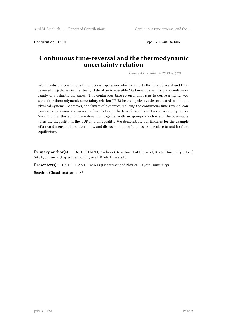Contribution ID: 10 **Type** : 20 minute talk

#### **Continuous time-reversal and the thermodynamic uncertainty relation**

*Friday, 4 December 2020 13:20 (20)*

We introduce a continuous time-reversal operation which connects the time-forward and timereversed trajectories in the steady state of an irreversible Markovian dynamics via a continuous family of stochastic dynamics. This continuous time-reversal allows us to derive a tighter version of the thermodynamic uncertainty relation (TUR) involving observables evaluated in different physical systems. Moreover, the family of dynamics realizing the continuous time-reversal contains an equilibrium dynamics halfway between the time-forward and time-reversed dynamics. We show that this equilibrium dynamics, together with an appropriate choice of the observable, turns the inequality in the TUR into an equality. We demonstrate our findings for the example of a two-dimensional rotational flow and discuss the role of the observable close to and far from equilibrium.

**Primary author(s) :** Dr. DECHANT, Andreas (Department of Physics I, Kyoto University); Prof. SASA, Shin-ichi (Department of Physics I, Kyoto University)

Presenter(s) : Dr. DECHANT, Andreas (Department of Physics I, Kyoto University)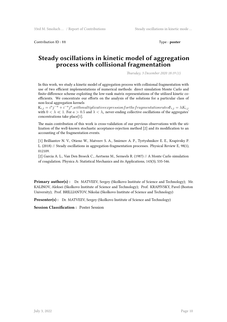Contribution ID : **11** Type : **poster**

#### **Steady oscillations in kinetic model of aggregation process with collisional fragmentation**

*Thursday, 3 December 2020 18:19 (1)*

In this work, we study a kinetic model of aggregation process with collisional fragmentation with use of two efficient implementations of numerical methods: direct simulation Monte Carlo and finite-difference scheme exploiting the low-rank matrix representations of the utilized kinetic coefficients. We concentrate our efforts on the analysis of the solutions for a particular class of non-local aggregation kernels

 $K_{i,j} = i^a j^{-a} + i^{-a} j^a, with multiplicative expression for the fragmentation rates F_{i,j} = \lambda K_{i,j}$ with  $0 < \lambda \ll 1$ . For  $a > 0.5$  and  $\lambda < \lambda_c$  never-ending collective oscillations of the aggregates' concentrations take place[1].

The main contribution of this work is cross-validation of our previous observations with the utilization of the well-known stochastic acceptance-rejection method [2] and its modification to an accounting of the fragmentation events.

[1] Brilliantov N. V., Otieno W., Matveev S. A., Smirnov A. P., Tyrtyshnikov E. E., Krapivsky P. L. (2018) // Steady oscillations in aggregation-fragmentation processes. Physical Review E, 98(1), 012109.

[2] Garcia A. L., Van Den Broeck C., Aertsens M., Serneels R. (1987) // A Monte Carlo simulation of coagulation. Physica A: Statistical Mechanics and its Applications, 143(3), 535-546.

**Primary author(s) :** Dr. MATVEEV, Sergey (Skolkovo Institute of Science and Technology); Mr. KALINOV, Aleksei (Skolkovo Institute of Science and Technology); Prof. KRAPIVSKY, Pavel (Boston University); Prof. BRILLIANTOV, Nikolai (Skolkovo Institute of Science and Technology)

**Presenter(s) :** Dr. MATVEEV, Sergey (Skolkovo Institute of Science and Technology)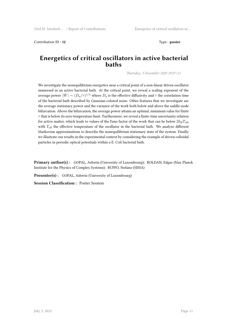Contribution ID: 12 Type : **poster** 

#### **Energetics of critical oscillators in active bacterial baths**

*Thursday, 3 December 2020 18:07 (1)*

We investigate the nonequilibrium energetics near a critical point of a non-linear driven oscillator immersed in an active bacterial bath. At the critical point, we reveal a scaling exponent of the average power  $\langle \dot{W} \rangle \sim (D_{\rm a}/\tau)^{1/4}$  where  $D_{\rm a}$  is the effective diffusivity and  $\tau$  the correlation time of the bacterial bath described by Gaussian colored noise. Other features that we investigate are the average stationary power and the variance of the work both below and above the saddle-node bifurcation. Above the bifurcation, the average power attains an optimal, minimum value for finite *τ* that is below its zero-temperature limit. Furthermore, we reveal a finite-time uncertainty relation for active matter, which leads to values of the Fano factor of the work that can be below  $2k_BT_{\text{eff}}$ , with *T*eff the effective temperature of the oscillator in the bacterial bath. We analyze different Markovian approximations to describe the nonequilibrium stationary state of the system. Finally, we illustrate our results in the experimental context by considering the example of driven colloidal particles in periodic optical potentials within a E. Coli bacterial bath.

**Primary author(s) :** GOPAL, Ashwin (University of Luxembourg); ROLDAN, Edgar (Max Planck Institute for the Physics of Complex Systems); RUFFO, Stefano (SISSA)

Presenter(s) : GOPAL, Ashwin (University of Luxembourg)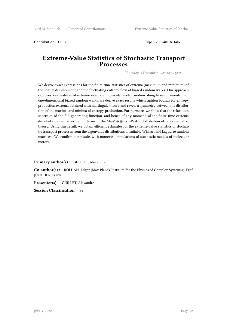Contribution ID : **13** Type : **20 minute talk**

#### **Extreme-Value Statistics of Stochastic Transport Processes**

*Thursday, 3 December 2020 12:50 (20)*

We derive exact expressions for the finite-time statistics of extrema (maximum and minimum) of the spatial displacement and the fluctuating entropy flow of biased random walks. Our approach captures key features of extreme events in molecular motor motion along linear filaments. For one-dimensional biased random walks, we derive exact results which tighten bounds for entropy production extrema obtained with martingale theory and reveal a symmetry between the distribution of the maxima and minima of entropy production. Furthermore, we show that the relaxation spectrum of the full generating function, and hence of any moment, of the finite-time extrema distributions can be written in terms of the Mar{\v{c}}enko-Pastur distribution of random-matrix theory. Using this result, we obtain efficient estimates for the extreme-value statistics of stochastic transport processes from the eigenvalue distributions of suitable Wishart and Laguerre random matrices. We confirm our results with numerical simulations of stochastic models of molecular motors.

#### **Primary author(s) :** GUILLET, Alexandre

**Co-author(s) :** ROLDAN, Edgar (Max Planck Institute for the Physics of Complex Systems); Prof. JÜLICHER, Frank

**Presenter(s) :** GUILLET, Alexandre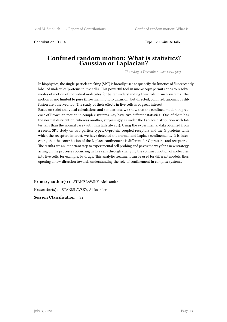Contribution ID : **14** Type : **20 minute talk**

#### **Confined random motion: What is statistics? Gaussian or Laplacian?**

*Thursday, 3 December 2020 13:10 (20)*

In biophysics, the single-particle tracking (SPT) is broadly used to quantify the kinetics of fluorescentlylabelled molecules/proteins in live cells. This powerful tool in microscopy permits ones to resolve modes of motion of individual molecules for better understanding their role in such systems. The motion is not limited to pure (Brownian motion) diffusion, but directed, confined, anomalous diffusion are observed too. The study of their effects in live cells is of great interest.

Based on strict analytical calculations and simulations, we show that the confined motion in presence of Brownian motion in complex systems may have two different statistics . One of them has the normal distribution, whereas another, surprisingly, is under the Laplace distribution with fatter tails than the normal case (with thin tails always). Using the experimental data obtained from a recent SPT study on two particle types, G-protein coupled receptors and the G proteins with which the receptors interact, we have detected the normal and Laplace confinements. It is interesting that the contribution of the Laplace confinement is different for G proteins and receptors. The results are an important step to experimental cell probing and paves the way for a new strategy acting on the processes occurring in live cells through changing the confined motion of molecules into live cells, for example, by drugs. This analytic treatment can be used for different models, thus opening a new direction towards understanding the role of confinement in complex systems.

**Primary author(s) :** STANISLAVSKY, Aleksander **Presenter(s) :** STANISLAVSKY, Aleksander **Session Classification :** S2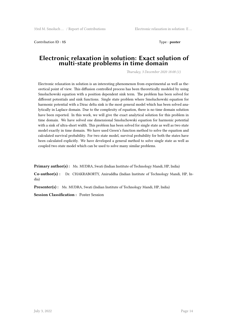Contribution ID: 15 Type : **poster** 

#### **Electronic relaxation in solution: Exact solution of multi-state problems in time domain**

*Thursday, 3 December 2020 18:08 (1)*

Electronic relaxation in solution is an interesting phenomenon from experimental as well as theoretical point of view. This diffusion controlled process has been theoretically modeled by using Smoluchowski equation with a position dependent sink term. The problem has been solved for different potentials and sink functions. Single state problem where Smoluchowski equation for harmonic potential with a Dirac delta sink is the most general model which has been solved analytically in Laplace domain. Due to the complexity of equation, there is no time domain solution have been reported. In this work, we will give the exact analytical solution for this problem in time domain. We have solved one dimensional Smoluchowski equation for harmonic potential with a sink of ultra-short width. This problem has been solved for single state as well as two state model exactly in time domain. We have used Green's function method to solve the equation and calculated survival probability. For two state model, survival probability for both the states have been calculated explicitly. We have developed a general method to solve single state as well as coupled two state model which can be used to solve many similar problems.

**Primary author(s):** Ms. MUDRA, Swati (Indian Institute of Technology Mandi, HP, India)

**Co-author(s) :** Dr. CHAKRABORTY, Aniruddha (Indian Institute of Technology Mandi, HP, India)

**Presenter(s) :** Ms. MUDRA, Swati (Indian Institute of Technology Mandi, HP, India)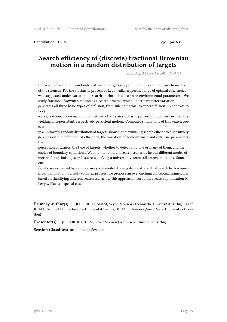Contribution ID: 16 Type : **poster** 

#### **Search efficiency of (discrete) fractional Brownian motion in a random distribution of targets**

*Thursday, 3 December 2020 18:09 (1)*

Efficiency of search for randomly distributed targets is a prominent problem in many branches of the sciences. For the stochastic process of Lévy walks, a specific range of optimal efficiencies was suggested under variation of search intrinsic and extrinsic environmental parameters. We study fractional Brownian motion as a search process, which under parameter variation generates all three basic types of diffusion, from sub- to normal to superdiffusion. In contrast to Lévy

walks, fractional Brownian motion defines a Gaussian stochastic process with power law memory yielding anti-persistent, respectively persistent motion. Computer simulations of this search process

in a uniformly random distribution of targets show that maximising search efficiencies sensitively depends on the definition of efficiency, the variation of both intrinsic and extrinsic parameters, the

perception of targets, the type of targets, whether to detect only one or many of them, and the choice of boundary conditions. We find that different search scenarios favour different modes of motion for optimising search success, defying a universality across all search situations. Some of our

results are explained by a simple analytical model. Having demonstrated that search by fractional Brownian motion is a truly complex process, we propose an over-arching conceptual framework based on classifying different search scenarios. This approach incorporates search optimisation by Lévy walks as a special case.

**Primary author(s) :** JEBREIIL KHADEM, Seyed Mohsen (Technische Universität Berlin); Prof. KLAPP, Sabine H.L. (Technische Universität Berlin); KLAGES, Rainer (Queen Mary University of London)

**Presenter(s) :** JEBREIIL KHADEM, Seyed Mohsen (Technische Universität Berlin)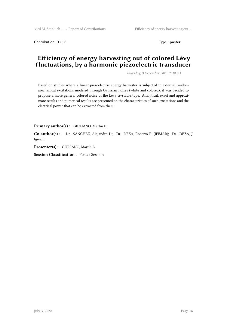Contribution ID : **17** Type : **poster** 

## **Efficiency of energy harvesting out of colored Lévy fluctuations, by a harmonic piezoelectric transducer**

*Thursday, 3 December 2020 18:10 (1)*

Based on studies where a linear piezoelectric energy harvester is subjected to external random mechanical excitations modeled through Gaussian noises (white and colored), it was decided to propose a more general colored noise of the Levy α−stable type. Analytical, exact and approximate results and numerical results are presented on the characteristics of such excitations and the electrical power that can be extracted from them.

**Primary author(s) :** GIULIANO, Martín E.

**Co-author(s) :** Dr. SÁNCHEZ, Alejandro D.; Dr. DEZA, Roberto R. (IFIMAR); Dr. DEZA, J. Ignacio

**Presenter(s) :** GIULIANO, Martín E.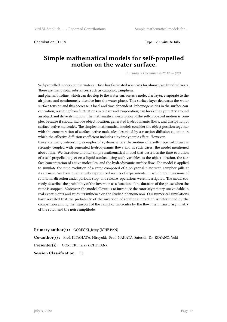Contribution ID : **18** Type : **20 minute talk**

#### **Simple mathematical models for self-propelled motion on the water surface.**

*Thursday, 3 December 2020 17:20 (20)*

Self-propelled motion on the water surface has fascinated scientists for almost two hundred years. There are many solid substances, such as camphor, camphene,

and phenanthroline, which can develop to the water surface as a molecular layer, evaporate to the air phase and continuously dissolve into the water phase. This surface layer decreases the water surface tension and this decrease is local and time-dependent. Inhomogeneities in the surface concentration, resulting from fluctuations in release and evaporation, can break the symmetry around an object and drive its motion. The mathematical description of the self-propelled motion is complex because it should include object location, generated hydrodynamic flows, and dissipation of surface-active molecules. The simplest mathematical models consider the object position together with the concentration of surface-active molecules described by a reaction-diffusion equation in which the effective diffusion coefficient includes a hydrodynamic effect. However,

there are many interesting examples of systems where the motion of a self-propelled object is strongly coupled with generated hydrodynamic flows and in such cases, the model mentioned above fails. We introduce another simple mathematical model that describes the time evolution of a self-propelled object on a liquid surface using such variables as the object location, the surface concentration of active molecules, and the hydrodynamic surface flow. The model is applied to simulate the time evolution of a rotor composed of a polygonal plate with camphor pills at its corners. We have qualitatively reproduced results of experiments, in which the inversions of rotational direction under periodic stop- and release- operations were investigated. The model correctly describes the probability of the inversion as a function of the duration of the phase when the rotor is stopped. Moreover, the model allows us to introduce the rotor asymmetry unavoidable in real experiments and study its influence on the studied phenomenon. Our numerical simulations have revealed that the probability of the inversion of rotational direction is determined by the competition among the transport of the camphor molecules by the flow, the intrinsic asymmetry of the rotor, and the noise amplitude.

**Primary author(s) :** GORECKI, Jerzy (ICHF PAN)

**Co-author(s) :** Prof. KITAHATA, Hiroyuki; Prof. NAKATA, Satoshi; Dr. KOYANO, Yuki **Presenter(s) :** GORECKI, Jerzy (ICHF PAN)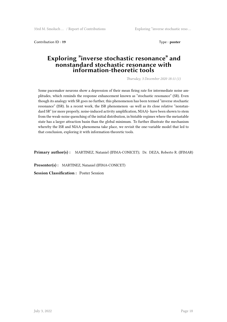Contribution ID: 19 Type : **poster** 

#### **Exploring "inverse stochastic resonance" and nonstandard stochastic resonance with information-theoretic tools**

*Thursday, 3 December 2020 18:11 (1)*

Some pacemaker neurons show a depression of their mean firing rate for intermediate noise amplitudes, which reminds the response enhancement known as "stochastic resonance" (SR). Even though its analogy with SR goes no further, this phenomenon has been termed "inverse stochastic resonance" (ISR). In a recent work, the ISR phenomenon -as well as its close relative "nonstandard SR" (or more properly, noise-induced activity amplification, NIAA)- have been shown to stem from the weak-noise quenching of the initial distribution, in bistable regimes where the metastable state has a larger attraction basin than the global minimum. To further illustrate the mechanism whereby the ISR and NIAA phenomena take place, we revisit the one-variable model that led to that conclusion, exploring it with information-theoretic tools.

**Primary author(s) :** MARTINEZ, Nataniel (IFIMA-CONICET); Dr. DEZA, Roberto R. (IFIMAR)

**Presenter(s) :** MARTINEZ, Nataniel (IFIMA-CONICET)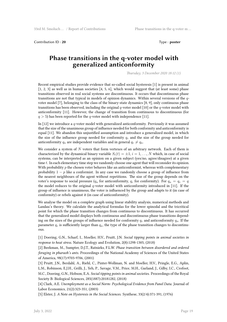Contribution ID : 20 Type : **poster** 

#### **Phase transitions in the q-voter model with generalized anticonformity**

*Thursday, 3 December 2020 18:12 (1)*

Recent empirical studies provide evidence that so-called social hysteresis [1] is present in animal [1, 2, 3] as well as in human societies [4, 5, 6], which would suggest that (at least some) phase transitions observed in real social systems are discontinuous. It occurs that discontinuous phase transitions are not that typical in models of opinion dynamics. Within several versions of the *q*voter model [7], belonging to the class of the binary-state dynamics [8, 9], only continuous phase transitions has been observed, including the original *q*-voter model [10] or the *q*-voter model with anticonformity [11]. However, the change of transition from continuous to discontinuous (for  $q > 5$ ) has been reported for the *q*-voter model with independence [11].

In [12] we introduce a *q*-voter model with generalized anticonformity. Previously it was assumed that the size of the unanimous group of influence needed for both conformity and anticonformity is equal [11]. We abandon this unjustified assumption and introduce a generalized model, in which the size of the influence group needed for conformity *q<sup>c</sup>* and the size of the group needed for anticonformity  $q_a$  are independent variables and in general  $q_c \neq q_a$ .

We consider a system of *N* voters that form vertexes of an arbitrary network. Each of them is characterized by the dynamical binary variable  $S_i(t) = \pm 1, i = 1, \ldots, N$  which, in case of social systems, can be interpreted as an opinion on a given subject (yes/no, agree/disagree) at a given time *t*. In each elementary time step we randomly choose one agent that will reconsider its opinion. With probability *p* the chosen voter behaves like an anticonformist, whereas with complementary probability 1 *− p* like a conformist. In any case we randomly choose a group of influence from the nearest neighbours of the agent without repetitions. The size of the group depends on the voter's response to social pressure  $(q_a \text{ for anticonformity}, q_c \text{ for conformity})$ . For  $q_a = q_c = q$ the model reduces to the original *q*-voter model with anticonformity introduced in [11]. If the group of influence is unanimous, the voter is influenced by the group and adapts to it (in case of conformity) or rebels against it (in case of anticonformity).

We analyse the model on a complete graph using linear stability analysis, numerical methods and Landau's theory. We calculate the analytical formulas for the lower spinodal and the tricritical point for which the phase transition changes from continuous to discontinuous. It has occurred that the generalized model displays both continuous and discontinuous phase transitions depending on the sizes of the groups of influence needed for conformity  $q_c$  and anticonformity  $q_a$ . If the parameter  $q_c$  is sufficiently larger than  $q_a$ , the type of the phase transition changes to discontinuous.

[1] Doering, G.N., Scharf, I., Moeller, H.V., Pruitt, J.N. *Social tipping points in animal societies in response to heat stress*. Nature Ecology and Evolution, 2(8):1298-1305, (2018)

[2] Beekman, M., Sumpter, D.J.T., Ratnieks, F.L.W. *Phase transition between disordered and ordered foraging in pharaoh's ants*. Proceedings of the National Academy of Sciences of the United States of America, 98(17):9703-9706, (2001)

[3] Pruitt, J.N., Berdahl, A., Riehl, C., Pinter-Wollman, N. and Moeller, H.V., Pringle, E.G., Aplin, L.M., Robinson, E.J.H., Grilli, J., Yeh, P., Savage, V.M., Price, M.H., Garland, J., Gilby, I.C., Crofoot, M.C., Doering, G.N., Hobson, E.A. *Social tipping points in animal societies*. Proceedings of the Royal Society B: Biological Sciences, 285(1887):20181282, (2018)

[4] Clark, A.E. *Unemployment as a Social Norm: Psychological Evidence from Panel Data*. Journal of Labor Economics, 21(2):323-351, (2003)

[5] Elster, J. *A Note on Hysteresis in the Social Sciences*. Synthese, 33(2/4):371-391, (1976)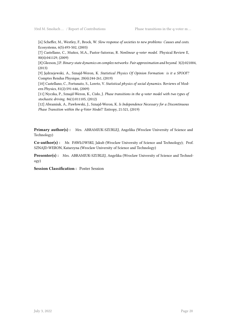[6] Scheffer, M., Westley, F., Brock, W. *Slow response of societies to new problems: Causes and costs*. Ecosystems, 6(5):493-502, (2003)

[7] Castellano, C., Muñoz, M.A., Pastor-Satorras, R. *Nonlinear q-voter model*. Physical Review E, 80(4):041129, (2009)

[8] Gleeson, J.P. *Binary-state dynamics on complex networks: Pair approximation and beyond*. 3(2):021004, (2013)

[9] Jędrzejewski, A., Sznajd-Weron, K. *Statistical Physics Of Opinion Formation: is it a SPOOF?* Comptes Rendus Physique, 20(4):244-261, (2019)

[10] Castellano, C., Fortunato, S., Loreto, V. *Statistical physics of social dynamics*. Reviews of Modern Physics, 81(2):591-646, (2009)

[11] Nyczka, P., Sznajd-Weron, K., Cisło, J. *Phase transitions in the q-voter model with two types of stochastic driving*. 86(1):011105, (2012)

[12] Abramiuk, A., Pawłowski, J., Sznajd-Weron, K. *Is Independence Necessary for a Discontinuous Phase Transition within the q-Voter Model?* Entropy, 21:521, (2019)

**Primary author(s) :** Mrs. ABRAMIUK-SZURLEJ, Angelika (Wroclaw University of Science and Technology)

**Co-author(s) :** Mr. PAWŁOWSKI, Jakub (Wroclaw University of Science and Technology); Prof. SZNAJD-WERON, Katarzyna (Wroclaw University of Science and Technology)

**Presenter(s) :** Mrs. ABRAMIUK-SZURLEJ, Angelika (Wroclaw University of Science and Technology)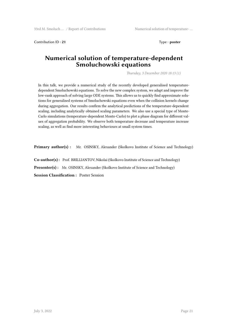Contribution ID : **21** Type : **poster**

#### **Numerical solution of temperature-dependent Smoluchowski equations**

*Thursday, 3 December 2020 18:13 (1)*

In this talk, we provide a numerical study of the recently developed generalised temperaturedependent Smoluchowski equations. To solve the new complex system, we adapt and improve the low-rank approach of solving large ODE systems. This allows us to quickly find approximate solutions for generalised systems of Smoluchowski equations even when the collision kernels change during aggregation. Our results confirm the analytical predictions of the temperature-dependent scaling, including analytically obtained scaling parameters. We also use a special type of Monte-Carlo simulations (temperature-dependent Monte-Carlo) to plot a phase diagram for different values of aggregation probability. We observe both temperature decrease and temperature increase scaling, as well as find more interesting behaviours at small system times.

**Primary author(s) :** Mr. OSINSKY, Alexander (Skolkovo Institute of Science and Technology)

**Co-author(s) :** Prof. BRILLIANTOV, Nikolai (Skolkovo Institute of Science and Technology) **Presenter(s) :** Mr. OSINSKY, Alexander (Skolkovo Institute of Science and Technology)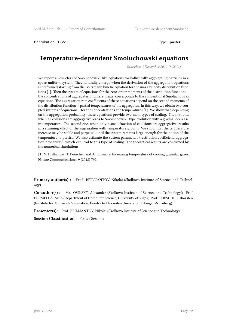Contribution ID : **22** Type : **poster** 

## **Temperature-dependent Smoluchowski equations**

*Thursday, 3 December 2020 18:06 (1)*

We report a new class of Smoluchowski-like equations for ballistically aggregating particles in a space-uniform system. They naturally emerge when the derivation of the aggregation equations is performed starting from the Boltzmann kinetic equation for the mass-velocity distribution functions [1]. Then the system of equations for the zero-order moments of the distribution functions – the concentrations of aggregates of different size, corresponds to the conventional Smoluchowski equations. The aggregation rate coefficients of these equations depend on the second moments of the distribution function – partial temperatures of the aggregates. In this way, we obtain two coupled systems of equations – for the concentrations and temperatures [1]. We show that, depending on the aggregation probability, these equations provide two main types of scaling. The first one, when all collisions are aggregative leads to Smoluchowski-type evolution with a gradual decrease in temperature. The second one, when only a small fraction of collisions are aggregative, results in a stunning effect of the aggregation with temperature growth. We show that the temperature increase may be stable and perpetual until the system remains large enough for the notion of the temperature to persist. We also estimate the system parameters (restitution coefficient, aggregation probability), which can lead to this type of scaling. The theoretical results are confirmed by the numerical simulations.

[1] N. Brilliantov, T. Poeschel, and A. Formella, Increasing temperature of cooling granular gases, Nature Communications, 9 (2018) 797.

**Primary author(s) :** Prof. BRILLIANTOV, Nikolai (Skolkovo Institute of Science and Technology)

**Co-author(s) :** Mr. OSINSKY, Alexander (Skolkovo Institute of Science and Technology); Prof. FORMELLA, Arno (Department of Computer Science, University of Vigo); Prof. POESCHEL, Thorsten (Institute for Multiscale Simulation, Friedrich-Alexander-Universität Erlangen-Nürnberg)

**Presenter(s) :** Prof. BRILLIANTOV, Nikolai (Skolkovo Institute of Science and Technology)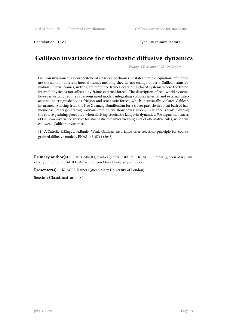Contribution ID : **23** Type : **30 minute lecture**

# **Galilean invariance for stochastic diffusive dynamics**

*Friday, 4 December 2020 09:00 (30)*

Galilean invariance is a cornerstone of classical mechanics. It states that the equations of motion are the same in different inertial frames meaning they do not change under a Galilean transformation. Inertial frames, in turn, are reference frames describing closed systems where the frameinternal physics is not affected by frame-external forces. The description of real world systems, however, usually requires coarse-grained models integrating complex internal and external interactions indistinguishably as friction and stochastic forces, which intrinsically violates Galilean invariance. Starting from the Kac-Zwanzig Hamiltonian for a tracer particle in a heat bath of harmonic oscillators generating Brownian motion, we show how Galilean invariance is broken during the coarse graining procedure when deriving stochastic Langevin dynamics. We argue that traces of Galilean invariance survive for stochastic dynamics yielding a set of alternative rules, which we call weak Galilean invariance.

[1] A.Cairoli, R.Klages, A.Baule, Weak Galilean invariance as a selection principle for coarsegrained diffusive models, PNAS 115, 5714 (2018)

**Primary author(s) :** Dr. CAIROLI, Andrea (Crick Institute); KLAGES, Rainer (Queen Mary University of London); BAULE, Adrian (Queen Mary University of London)

Presenter(s): KLAGES, Rainer (Queen Mary University of London)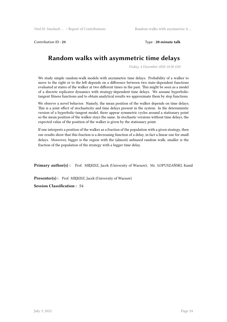Contribution ID : **24** Type : **20 minute talk**

# **Random walks with asymmetric time delays**

*Friday, 4 December 2020 10:30 (20)*

We study simple random-walk models with asymmetric time delays. Probability of a walker to move to the right or to the left depends on a difference between two state-dependent functions evaluated at states of the walker at two different times in the past. This might be seen as a model of a discrete replicator dynamics with strategy-dependent time delays. We assume hyperbolictangent fitness functions and to obtain analytical results we approximate them by step functions.

We observe a novel behavior. Namely, the mean position of the walker depends on time delays. This is a joint effect of stochasticity and time delays present in the system. In the deterministic version of a hyperbolic-tangent model, there appear symmetric cycles around a stationary point so the mean position of the walker stays the same. In stochastic versions without time delays, the expected value of the position of the walker is given by the stationary point.

If one interprets a position of the walker as a fraction of the population with a given strategy, then our results show that this fraction is a decreasing function of a delay, in fact a linear one for small delays. Moreover, bigger is the region with the (almost) unbiased random walk, smaller is the fraction of the population of the strategy with a bigger time delay.

**Primary author(s) :** Prof. MIĘKISZ, Jacek (University of Warsaw); Mr. ŁOPUSZAŃSKI, Kamil

**Presenter(s):** Prof. MIEKISZ, Jacek (University of Warsaw)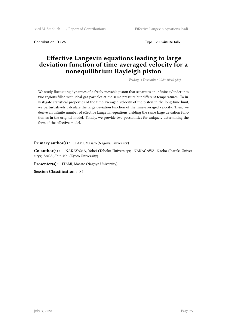Contribution ID : **26** Type : **20 minute talk**

#### **Effective Langevin equations leading to large deviation function of time-averaged velocity for a nonequilibrium Rayleigh piston**

*Friday, 4 December 2020 10:10 (20)*

We study fluctuating dynamics of a freely movable piston that separates an infinite cylinder into two regions filled with ideal gas particles at the same pressure but different temperatures. To investigate statistical properties of the time-averaged velocity of the piston in the long-time limit, we perturbatively calculate the large deviation function of the time-averaged velocity. Then, we derive an infinite number of effective Langevin equations yielding the same large deviation function as in the original model. Finally, we provide two possibilities for uniquely determining the form of the effective model.

Primary author(s) : ITAMI, Masato (Nagoya University)

**Co-author(s) :** NAKAYAMA, Yohei (Tohoku University); NAKAGAWA, Naoko (Ibaraki University); SASA, Shin-ichi (Kyoto University)

Presenter(s): ITAMI, Masato (Nagoya University)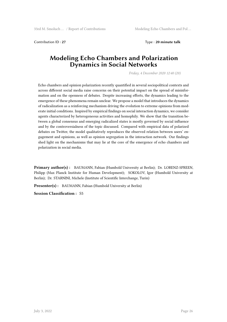Contribution ID : **27** Type : **20 minute talk**

#### **Modeling Echo Chambers and Polarization Dynamics in Social Networks**

*Friday, 4 December 2020 12:40 (20)*

Echo chambers and opinion polarization recently quantified in several sociopolitical contexts and across different social media raise concerns on their potential impact on the spread of misinformation and on the openness of debates. Despite increasing efforts, the dynamics leading to the emergence of these phenomena remain unclear. We propose a model that introduces the dynamics of radicalization as a reinforcing mechanism driving the evolution to extreme opinions from moderate initial conditions. Inspired by empirical findings on social interaction dynamics, we consider agents characterized by heterogeneous activities and homophily. We show that the transition between a global consensus and emerging radicalized states is mostly governed by social influence and by the controversialness of the topic discussed. Compared with empirical data of polarized debates on Twitter, the model qualitatively reproduces the observed relation between users' engagement and opinions, as well as opinion segregation in the interaction network. Our findings shed light on the mechanisms that may lie at the core of the emergence of echo chambers and polarization in social media.

**Primary author(s) :** BAUMANN, Fabian (Humbold University at Berlin); Dr. LORENZ-SPREEN, Philipp (Max Planck Institute for Human Development); SOKOLOV, Igor (Humbold University at Berlin); Dr. STARNINI, Michele (Institute of Scientific Interchange, Turin)

**Presenter(s) :** BAUMANN, Fabian (Humbold University at Berlin)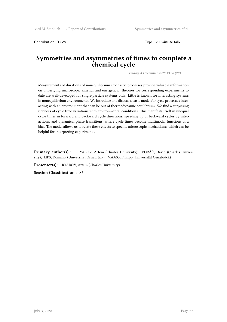Contribution ID : **28** Type : **20 minute talk**

#### **Symmetries and asymmetries of times to complete a chemical cycle**

*Friday, 4 December 2020 13:00 (20)*

Measurements of durations of nonequilibrium stochastic processes provide valuable information on underlying microscopic kinetics and energetics. Theories for corresponding experiments to date are well-developed for single-particle systems only. Little is known for interacting systems in nonequilibrium environments. We introduce and discuss a basic model for cycle processes interacting with an environment that can be out of thermodynamic equilibrium. We find a surprising richness of cycle time variations with environmental conditions. This manifests itself in unequal cycle times in forward and backward cycle directions, speeding up of backward cycles by interactions, and dynamical phase transitions, where cycle times become multimodal functions of a bias. The model allows us to relate these effects to specific microscopic mechanisms, which can be helpful for interpreting experiments.

**Primary author(s) :** RYABOV, Artem (Charles University); VORÁČ, David (Charles University); LIPS, Dominik (Universität Osnabrück); MAASS, Philipp (Universität Osnabrück)

**Presenter(s) :** RYABOV, Artem (Charles University)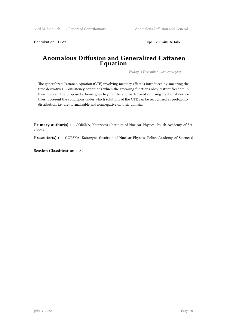Contribution ID: 29 Type: 20 minute talk

#### **Anomalous Diffusion and Generalized Cattaneo Equation**

*Friday, 4 December 2020 09:30 (20)*

The generalized Cattaneo equation (GTE) involving memory effect is introduced by smearing the time derivatives. Consistency conditions which the smearing functions obey restrict freedom in their choice. The proposed scheme goes beyond the approach based on using fractional derivatives. I present the conditions under which solutions of the GTE can be recognized as probability distribution, i.e. are normalizable and nonnegative on their domain.

**Primary author(s) :** GORSKA, Katarzyna (Institute of Nuclear Physics, Polish Academy of Sciences)

Presenter(s) : GORSKA, Katarzyna (Institute of Nuclear Physics, Polish Academy of Sciences)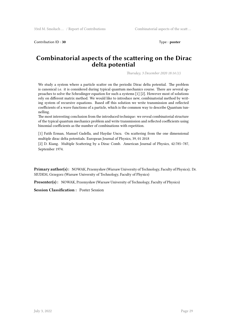Contribution ID : **30** Type : **poster** 

#### **Combinatorial aspects of the scattering on the Dirac delta potential**

*Thursday, 3 December 2020 18:14 (1)*

We study a system where a particle scatter on the periodic Dirac delta potential. The problem is canonical i.e. it is considered during typical quantum mechanics course. There are several approaches to solve the Schrodinger equation for such a systems [1] [2]. However most of solutions rely on different matrix method. We would like to introduce new, combinatorial method by writing system of recursive equations. Based off this solution we write transmission and reflected coefficients of a wave functions of a particle, which is the common way to describe Quantum tunnelling.

The most interesting conclusion from the introduced technique: we reveal combinatorial structure of the typical quantum mechanics problem and write transmission and reflected coefficients using binomial coefficients as the number of combinations with repetition.

[1] Fatih Erman, Manuel Gadella, and Haydar Uncu. On scattering from the one dimensional multiple dirac delta potentials. European Journal of Physics, 39, 01 2018

[2] D. Kiang. Multiple Scattering by a Dirac Comb. American Journal of Physics, 42:785–787, September 1974.

**Primary author(s) :** NOWAK, Przemysław (Warsaw University of Technology, Faculty of Physics); Dr. SIUDEM, Grzegorz (Warsaw University of Technology, Faculty of Physics)

**Presenter(s) :** NOWAK, Przemysław (Warsaw University of Technology, Faculty of Physics)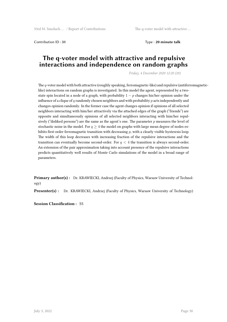Contribution ID : **31** Type : **20 minute talk**

#### **The q-voter model with attractive and repulsive interactions and independence on random graphs**

*Friday, 4 December 2020 12:20 (20)*

The *q*-voter model with both attractive (roughly speaking, ferromagnetic-like) and repulsive (antiferromagneticlike) interactions on random graphs is investigated. In this model the agent, represented by a twostate spin located in a node of a graph, with probability  $1 - p$  changes his/her opinion under the influence of a clique of *q* randomly chosen neighbors and with probability *p* acts independently and changes opinion randomly. In the former case the agent changes opinion if opinions of all selected neighbors interacting with him/her attractively via the attached edges of the graph ("friends") are opposite and simultaneously opinions of all selected neighbors interacting with him/her repulsively ("disliked persons") are the same as the agent's one. The parameter *p* measures the level of stochastic noise in the model. For  $q \geq 4$  the model on graphs with large mean degree of nodes exhibits first-order ferromagnetic transition with decreasing *p*, with a clearly visible hysteresis loop. The width of this loop decreases with increasing fraction of the repulsive interactions and the transition can eventually become second-order. For *q <* 4 the transition is always second-order. An extension of the pair approximation taking into account presence of the repulsive interactions predicts quantitatively well results of Monte Carlo simulations of the model in a broad range of parameters.

**Primary author(s) :** Dr. KRAWIECKI, Andrzej (Faculty of Physics, Warsaw University of Technology)

**Presenter(s) :** Dr. KRAWIECKI, Andrzej (Faculty of Physics, Warsaw University of Technology)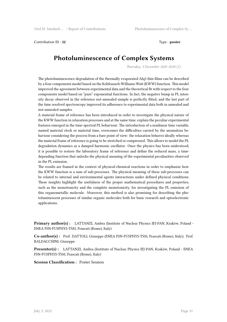Contribution ID: 32 Type : **poster** 

# **Photoluminescence of Complex Systems**

*Thursday, 3 December 2020 18:05 (1)*

The photoluminescence degradation of the thermally evaporated Alq3 thin films can be described by a four components model based on the Kohlrausch-Williams-Watt (KWW) function. This model improved the agreement between experimental data and the theoretical fit with respect to the four components model based on "pure" exponential functions. In fact, the negative bump in PL intensity decay observed in the reference not-annealed sample is perfectly fitted, and the last part of the time resolved spectroscopy improved its adherence to experimental data both in annealed and not-annealed samples.

A material frame of reference has been introduced in order to investigate the physical nature of the KWW function in relaxation processes and at the same time, explain the peculiar experimental features emerged in the time-spectral PL behaviour. The introduction of a nonlinear time variable, named material clock or material time, overcomes the difficulties carried by the anomalous behaviour considering the process from a bare point of view: the relaxation behaves ideally whereas the material frame of reference is going to be stretched or compressed. This allows to model the PL degradation dynamics as a damped harmonic oscillator. Once the physics has been understood, it is possible to restore the laboratory frame of reference and define the reduced mass, a timedepending function that unlocks the physical meaning of the experimental peculiarities observed in the PL emission.

The results are framed in the context of physical-chemical reactions in order to emphasize how the KWW function is a sum of sub-processes. The physical meaning of these sub-processes can be related to internal and environmental agents interactions under defined physical conditions. These insights highlight the usefulness of the proper mathematical procedures and properties, such as the monotonicity and the complete monotonicity, for investigating the PL emission of this organometallic molecule. Moreover, this method is also promising for describing the photoluminescent processes of similar organic molecules both for basic research and optoelectronic applications.

**Primary author(s) :** LATTANZI, Ambra (Institute of Nuclear Physics IFJ-PAN, Krakòw, Poland - ENEA FSN-FUSPHYS-TSM, Frascati (Rome), Italy)

**Co-author(s) :** Prof. DATTOLI, Giuseppe (ENEA FSN-FUSPHYS-TSM, Frascati (Rome), Italy); Prof. BALDACCHINI, Giuseppe

**Presenter(s) :** LATTANZI, Ambra (Institute of Nuclear Physics IFJ-PAN, Krakòw, Poland - ENEA FSN-FUSPHYS-TSM, Frascati (Rome), Italy)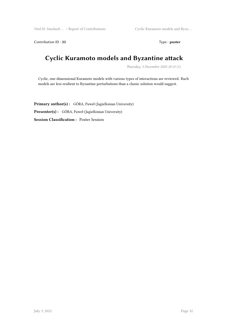33rd M. Smoluch … / Report of Contributions Cyclic Kuramoto models and Byza ...

Contribution ID:33 Type: **poster** 

# **Cyclic Kuramoto models and Byzantine attack**

*Thursday, 3 December 2020 18:15 (1)*

Cyclic, one-dimensional Kuramoto models with various types of interactions are reviewed. Ruch models are less resilient to Byzantine perturbations than a classic solution would suggest.

**Primary author(s) :** GÓRA, Paweł (Jagiellonian University) **Presenter(s) :** GÓRA, Paweł (Jagiellonian University) **Session Classification :** Poster Session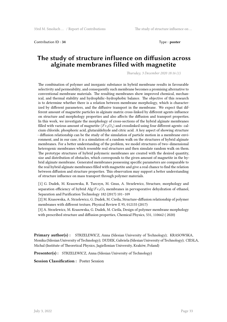Contribution ID : **34** Type : **poster** 

#### **The study of structure influence on diffusion across alginate membranes filled with magnetite**

*Thursday, 3 December 2020 18:16 (1)*

The combination of polymer and inorganic substance in hybrid membrane results in favourable selectivity and permeability, and consequently such membrane becomes a promising alternative to conventional membrane materials. The resulting membranes show improved chemical, mechanical, and thermal stability and hydrophilic–hydrophobic balance. The objective of this research is to determine whether there is a relation between membrane morphology, which is characterized by different parameters, and the diffusive transport in the membrane. We expect that different amount of magnetite particles in alginate matrix cross-linked by different agents influence on structure and morphology properties and also affects the diffusion and transport properties. In this work, we investigate the morphology of cross-sections of the hybrid alginate membranes filled with various amount of magnetite (*F e*3*O*4) and crosslinked using four different agents: calcium chloride, phosphoric acid, glutaraldehyde and citric acid. A key aspect of showing structure - diffusion relationship can be the study of the simulation of particle motion in a membrane environment, and in our case, it is a simulation of a random walk on the structures of hybrid alginate membranes. For a better understanding of the problem, we model structures of two–dimensional heterogenic membranes which resemble real structures and then simulate random walk on them. The prototype structures of hybrid polymeric membranes are created with the desired quantity, size and distribution of obstacles, which corresponds to the given amount of magnetite in the hybrid alginate membrane. Generated membranes possessing specific parameters are comparable to the real hybrid alginate membranes filled with magnetite and give a real chance to find the relation between diffusion and structure properties. This observation may support a better understanding of structure influence on mass transport through polymer materials.

[1] G. Dudek, M. Krasowska, R. Turczyn, M. Gnus, A. Strzelewicz, Structure, morphology and separation efficiency of hybrid Alg/*F e*3*O*<sup>4</sup> membranes in pervaporative dehydration of ethanol, Separation and Purification Technology 182 (2017) 101–109

[2] M. Krasowska, A. Strzelewicz, G. Dudek, M. Cieśla, Structure-diffusion relationship of polymer membranes with different texture, Physical Review E 95, 012155 (2017)

[3] A. Strzelewicz, M. Krasowska, G. Dudek, M. Cieśla, Design of polymer membrane morphology with prescribed structure and diffusion properties, Chemical Physics, 531, 110662 ( 2020)

**Primary author(s) :** STRZELEWICZ, Anna (Silesian University of Technology); KRASOWSKA, Monika (Silesian University of Technology); DUDEK, Gabriela (Silesian University of Technology); CIESLA, Michal (Institute of Theoretical Physics, Jagiellonian University, Kraków, Poland)

**Presenter(s) :** STRZELEWICZ, Anna (Silesian University of Technology)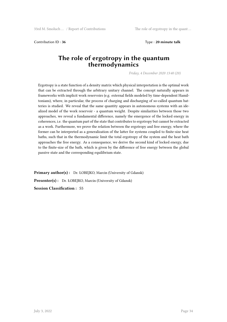Contribution ID : **36** Type : **20 minute talk**

#### **The role of ergotropy in the quantum thermodynamics**

*Friday, 4 December 2020 13:40 (20)*

Ergotropy is a state function of a density matrix which physical interpretation is the optimal work that can be extracted through the arbitrary unitary channel. The concept naturally appears in frameworks with implicit work reservoirs (e.g. external fields modeled by time-dependent Hamiltonians), where, in particular, the process of charging and discharging of so-called quantum batteries is studied. We reveal that the same quantity appears in autonomous systems with an idealized model of the work reservoir - a quantum weight. Despite similarities between those two approaches, we reveal a fundamental difference, namely the emergence of the locked energy in coherences, i.e. the quantum part of the state that contributes to ergotropy but cannot be extracted as a work. Furthermore, we prove the relation between the ergotropy and free energy, where the former can be interpreted as a generalization of the latter for systems coupled to finite-size heat baths, such that in the thermodynamic limit the total ergotropy of the system and the heat bath approaches the free energy. As a consequence, we derive the second kind of locked energy, due to the finite-size of the bath, which is given by the difference of free energy between the global passive state and the corresponding equilibrium state.

Primary author(s): Dr. ŁOBEJKO, Marcin (University of Gdansk) Presenter(s) : Dr. ŁOBEJKO, Marcin (University of Gdansk) **Session Classification :** S5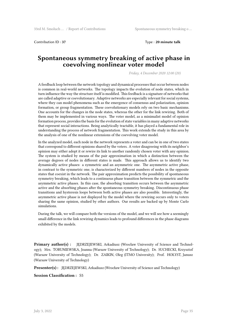Contribution ID : **37** Type : **20 minute talk**

#### **Spontaneous symmetry breaking of active phase in coevolving nonlinear voter model**

*Friday, 4 December 2020 12:00 (20)*

A feedback loop between the network topology and dynamical processes that occur between nodes is common in real-world networks. The topology impacts the evolution of node states, which in turn influence the way the structure itself is modified. This feedback is a signature of networks that are called adaptive or coevolutionary. Adaptive networks are especially relevant for social systems, where they can model phenomena such as the emergence of consensus and polarization, opinion formation, or group fragmentation. These coevolutionary models rely on two basic mechanisms. One accounts for the changes in the node states, whereas the other for the link rewiring. Both of them may be implemented in various ways. The voter model, as a minimalist model of opinion formation process, provides the basis for the evolution of state variables in many adaptive networks that represent social interactions. Being analytically tractable, it has played a fundamental role in understanding the process of network fragmentation. This work extends the study in this area by the analysis of one of the nonlinear extensions of the coevolving voter model.

In the analyzed model, each node in the network represents a voter and can be in one of two states that correspond to different opinions shared by the voters. A voter disagreeing with its neighbor's opinion may either adopt it or rewire its link to another randomly chosen voter with any opinion. The system is studied by means of the pair approximation in which a distinction between the average degrees of nodes in different states is made. This approach allows us to identify two dynamically active phases: a symmetric and an asymmetric one. The asymmetric active phase, in contrast to the symmetric one, is characterized by different numbers of nodes in the opposite states that coexist in the network. The pair approximation predicts the possibility of spontaneous symmetry breaking, which leads to a continuous phase transition between the symmetric and the asymmetric active phases. In this case, the absorbing transition occurs between the asymmetric active and the absorbing phases after the spontaneous symmetry breaking. Discontinuous phase transitions and hysteresis loops between both active phases are also possible. Interestingly, the asymmetric active phase is not displayed by the model where the rewiring occurs only to voters sharing the same opinion, studied by other authors. Our results are backed up by Monte Carlo simulations.

During the talk, we will compare both the versions of the model, and we will see how a seemingly small difference in the link rewiring dynamics leads to profound differences in the phase diagrams exhibited by the models.

**Primary author(s) :** JĘDRZEJEWSKI, Arkadiusz (Wrocław University of Science and Technology); Mrs. TORUNIEWSKA, Joanna (Warsaw University of Technology); Dr. SUCHECKI, Krzysztof (Warsaw University of Technology); Dr. ZAIKIN, Oleg (ITMO University); Prof. HOŁYST, Janusz (Warsaw University of Technology)

**Presenter(s):** JEDRZEJEWSKI, Arkadiusz (Wrocław University of Science and Technology)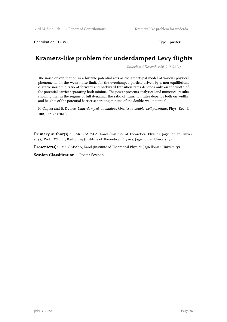Contribution ID: 38 Type : **poster** 

# **Kramers-like problem for underdamped Levy flights**

*Thursday, 3 December 2020 18:02 (1)*

The noise driven motion in a bistable potential acts as the archetypal model of various physical phenomena. In the weak noise limit, for the overdamped particle driven by a non-equilibrium, *α*-stable noise the ratio of forward and backward transition rates depends only on the width of the potential barrier separating both minima. The poster presents analytical and numerical results showing that in the regime of full dynamics the ratio of transition rates depends both on widths and heights of the potential barrier separating minima of the double-well potential.

K. Capała and B. Dybiec, *Underdamped, anomalous kinetics in double-well potentials*, Phys. Rev. E **102**, 052123 (2020).

**Primary author(s) :** Mr. CAPAŁA, Karol (Institute of Theoretical Physics, Jagiellonian University); Prof. DYBIEC, Bartłomiej (Institute of Theoretical Physics, Jagiellonian University)

Presenter(s): Mr. CAPAŁA, Karol (Institute of Theoretical Physics, Jagiellonian University)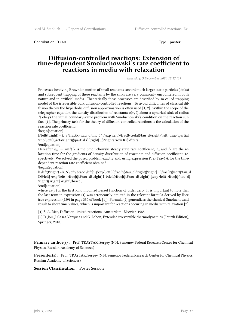Contribution ID : **40** Type : **poster** 

#### **Diffusion-controlled reactions: Extension of time-dependent Smoluchowski's rate coefficient to reactions in media with relaxation**

*Thursday, 3 December 2020 18:17 (1)*

Processes involving Brownian motion of small reactants toward much larger static particles (sinks) and subsequent trapping of these reactants by the sinks are very commonly encountered in both nature and in artificial media. Theoretically these processes are described by so-called trapping model of the irreversible bulk diffusion-controlled reactions. To avoid difficulties of classical diffusion theory the hyperbolic diffusion approximation is often used [1, 2]. Within the scope of the telegrapher equation the density distribution of reactants  $\rho(r, t)$  about a spherical sink of radius *R* obeys the initial boundary-value problem with Smoluchowski's condition on the reaction surface [1]. The primary task for the theory of diffusion-controlled reactions is the calculation of the reaction rate coefficient:

\begin{equation}

k\left(t\right) = k\_S \frac{R}{\tau\_d}\int\_0^t \exp \left(-\frac{t-\zeta}{\tau\_d}\right) \left. \frac{\partial \rho \left(r,\zeta\right)}{\partial r} \right|  $_{r\rightarrow R+} d\zeta$ .

\end{equation}

Hereafter  $k_S = 4\pi RD$  is the Smoluchowski steady state rate coefficient;  $\tau_d$  and D are the relaxation time for the gradients of density distribution of reactants and diffusion coefficient, respectively. We solved the posed problem exactly and, using expression  $(\ref{Tray1})$ , for the timedependent reaction rate coefficient obtained

\begin{equation}

k \left(t\right) = k\_S \left\lbrace \left[1-{\exp \left(- \frac{t}{\tau\_d} \right)}\right] + \frac{R}{\sqrt{\tau\_d} D}}\left[ \exp \left( - \frac{t}{2\tau\_d} \right) I\_0\left(\frac{t}{2\tau\_d} \right)-{\exp \left(- \frac{t}{\tau\_d} \right) I\_0\left(\frac{t}{2\tau\_d} \right)-{\exp \left(- \frac{t}{\tau\_d} \right) I\_0\left(\frac{t}{2\tau \right)} \right] \right\rbrace ,

\end{equation}

where  $I_0(z)$  is the first kind modified Bessel function of order zero. It is important to note that the last term in expression (1) was erroneously omitted in the relevant formula derived by Rice (see expression (289) in page 330 of book [1]). Formula (2) generalizes the classical Smoluchowski result to short time values, which is important for reactions occuring in media with relaxation [2].

[1] S. A. Rice, Diffusion-limited reactions, Amsterdam: Elsevier, 1985.

[2] D. Jou, J. Casas-Vazquez and G. Lebon, Extended irreversible thermodynamics (Fourth Edition), Springer, 2010.

Primary author(s): Prof. TRAYTAK, Sergey (N.N. Semenov Federal Research Center for Chemical Physics, Russian Academy of Sciences)

**Presenter(s) :** Prof. TRAYTAK, Sergey (N.N. Semenov Federal Research Center for Chemical Physics, Russian Academy of Sciences)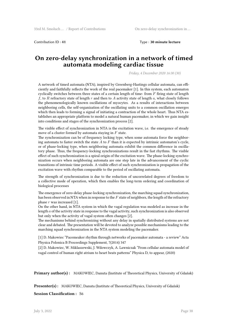Contribution ID : **41** Type : **30 minute lecture**

#### **On zero-delay synchronization in a network of timed automata modeling cardiac tissue**

*Friday, 4 December 2020 16:30 (30)*

A network of timed automata (NTA), inspired by Greenberg-Hastings cellular automata, can efficiently and faithfully reflects the work of the real pacemaker [1]. In this system, each automaton cyclically switches between three states of a certain length of time: from *F* firing state of length *f*, to *R* refractory state of length *r* and then to *A* activity state of length *a*, what closely follows the phenomenologically known oscillations of myocytes. As a results of interactions between neighboring cells, the self-organization of the oscillating units to a common oscillation emerges which then leads to forming a signal of initiating a contraction of the whole heart. Thus NTA establishes an appropriate platform to model a natural human pacemaker, in which we gain insight into conditions and stages of the synchronization process [2].

The visible effect of synchronization in NTA is the excitation wave, i.e. the emergence of steady move of a cluster formed by automata staying in *F* state.

The synchronization can be of frequency locking type, when some automata force the neighboring automata to faster switch the state *A* to *F* than it is expected by intrinsic automaton's cycle, or of phase-locking type, when neighboring automata exhibit the common difference in oscillatory phase. Thus, the frequency-locking synchronizations result in the fast rhythms. The visible effect of such synchronization is a spiral origin of the excitation wave. The phase-locking synchronization occurs when neighboring automata are one step late in the advancement of the cyclic transitions of intrinsic time periods. A visible effect of such synchronization is propagation of the excitation wave with rhythm comparable to the period of oscillating automata.

The strength of synchronization is due to the reduction of uncorrelated degrees of freedom to a collective mode of operation, which then enables the long-term ordering and coordination of biological processes

The emergence of zero-delay phase-locking synchronization, the marching squad synchronization, has been observed in NTA when in response to the *F* state of neighbors, the length of the refractory phase *r* was increased [1].

On the other hand, in NTA system in which the vagal regulation was modeled as increase in the length *a* of the activity state in response to the vagal activity, such synchronization is also observed but only when the activity of vagal system often changes [2].

The mechanisms behind synchronizing without any delay in spatially distributed systems are not clear and debated. The presentation will be devoted to analyze possible mechanisms leading to the marching squad synchronization in the NTA system modeling the pacemaker.

[1] D. Makowiec "Pacemeaker rhythm through networks of pacemaker automata - a review" Acta Physica Polonica B Proceedings Supplement, 7(2014) 347

[2] D. Makowiec, W. Miklaszewski, J. Wdowczyk, A. Lawniczak "From cellular automata model of vagal control of human right atrium to heart beats patterns" Physica D, to appear, (2020)

**Primary author(s) :** MAKOWIEC, Danuta (Institute of Theoretical Physics, University of Gdańsk)

**Presenter(s) :** MAKOWIEC, Danuta (Institute of Theoretical Physics, University of Gdańsk)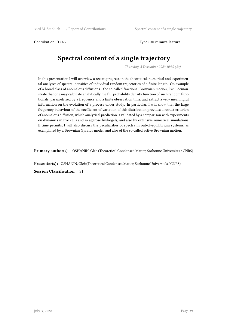Contribution ID : **45** Type : **30 minute lecture**

# **Spectral content of a single trajectory**

*Thursday, 3 December 2020 10:30 (30)*

In this presentation I will overview a recent progress in the theoretical, numerical and experimental analyses of spectral densities of individual random trajectories of a finite length. On example of a broad class of anomalous diffusions - the so-called fractional Brownian motion, I will demonstrate that one may calculate analytically the full probability density function of such random functionals, parametrised by a frequency and a finite observation time, and extract a very meaningful information on the evolution of a process under study. In particular, I will show that the large frequency behaviour of the coefficient of variation of this distribution provides a robust criterion of anomalous diffusion, which analytical prediction is validated by a comparison with experiments on dynamics in live cells and in agarose hydrogels, and also by extensive numerical simulations. If time permits, I will also discuss the peculiarities of spectra in out-of-equilibrium systems, as exemplified by a Brownian Gyrator model, and also of the so-called active Brownian motion.

**Primary author(s) :** OSHANIN, Gleb (Theoretical Condensed Matter, Sorbonne Universités / CNRS)

**Presenter(s) :** OSHANIN, Gleb (Theoretical Condensed Matter, Sorbonne Universités / CNRS) **Session Classification :** S1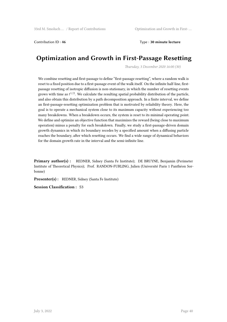Contribution ID : **46** Type : **30 minute lecture**

# **Optimization and Growth in First-Passage Resetting**

*Thursday, 3 December 2020 16:00 (30)*

We combine resetting and first-passage to define "first-passage resetting", where a random walk is reset to a fixed position due to a first-passage event of the walk itself. On the infinite half-line, firstpassage resetting of isotropic diffusion is non-stationary, in which the number of resetting events grows with time as  $t^{1/2}$ . We calculate the resulting spatial probability distribution of the particle, and also obtain this distribution by a path decomposition approach. In a finite interval, we define an first-passage-resetting optimization problem that is motivated by reliability theory. Here, the goal is to operate a mechanical system close to its maximum capacity without experiencing too many breakdowns. When a breakdown occurs, the system is reset to its minimal operating point. We define and optimize an objective function that maximizes the reward (being close to maximum operation) minus a penalty for each breakdown. Finally, we study a first-passage-driven domain growth dynamics in which its boundary recedes by a specified amount when a diffusing particle reaches the boundary, after which resetting occurs. We find a wide range of dynamical behaviors for the domain growth rate in the interval and the semi-infinite line.

**Primary author(s) :** REDNER, Sidney (Santa Fe Institute); DE BRUYNE, Benjamin (Perimeter Institute of Theoretical Physics); Prof. RANDON-FURLING, Julien (Université Paris 1 Panthéon Sorbonne)

**Presenter(s) :** REDNER, Sidney (Santa Fe Institute)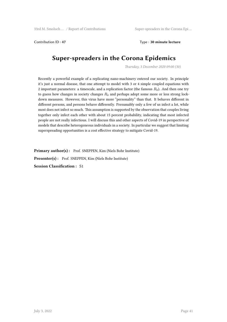Contribution ID : **47** Type : **30 minute lecture**

# **Super-spreaders in the Corona Epidemics**

*Thursday, 3 December 2020 09:00 (30)*

Recently a powerful example of a replicating nano-machinery entered our society. In principle it's just a normal disease, that one attempt to model with 3 or 4 simple coupled equations with 2 important parameters: a timescale, and a replication factor (the famous *R*0). And then one try to guess how changes in society changes *R*<sup>0</sup> and perhaps adopt some more or less strong lockdown measures. However, this virus have more "personality" than that. It behaves different in different persons, and persons behave differently. Presumably only a few of us infect a lot, while most does not infect so much. This assumption is supported by the observation that couples living together only infect each other with about 15 percent probability, indicating that most infected people are not really infectious. I will discuss this and other aspects of Covid-19 in perspective of models that describe heterogeneous individuals in a society. In particular we suggest that limiting superspreading opportunities is a cost effective strategy to mitigate Covid-19.

Primary author(s): Prof. SNEPPEN, Kim (Niels Bohr Institute)

**Presenter(s) :** Prof. SNEPPEN, Kim (Niels Bohr Institute)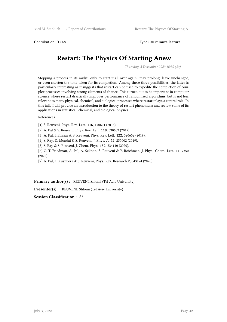Contribution ID : **48** Type : **30 minute lecture**

# **Restart: The Physics Of Starting Anew**

*Thursday, 3 December 2020 16:30 (30)*

Stopping a process in its midst—only to start it all over again—may prolong, leave unchanged, or even shorten the time taken for its completion. Among these three possibilities, the latter is particularly interesting as it suggests that restart can be used to expedite the completion of complex processes involving strong elements of chance. This turned out to be important in computer science where restart drastically improves performance of randomized algorithms, but is not less relevant to many physical, chemical, and biological processes where restart plays a central role. In this talk, I will provide an introduction to the theory of restart phenomena and review some of its applications in statistical, chemical, and biological physics.

#### References

[1] S. Reuveni, Phys. Rev. Lett. **116**, 170601 (2016).

[2] A. Pal & S. Reuveni, Phys. Rev. Lett. **118**, 030603 (2017).

[3] A. Pal, I. Eliazar & S. Reuveni, Phys. Rev. Lett. **122**, 020602 (2019).

[4] S. Ray, D. Mondal & S. Reuveni, J. Phys. A. **52**, 255002 (2019).

[5] S. Ray & S. Reuveni, J. Chem. Phys. **152**, 234110 (2020).

[6] O. T. Friedman, A. Pal, A. Sekhon, S. Reuveni & Y. Roichman, J. Phys. Chem. Lett. **11**, 7350 (2020).

[7] A. Pal, Ł. Kuśmierz & S. Reuveni, Phys. Rev. Research **2**, 043174 (2020).

**Primary author(s) :** REUVENI, Shlomi (Tel Aviv University)

**Presenter(s) :** REUVENI, Shlomi (Tel Aviv University)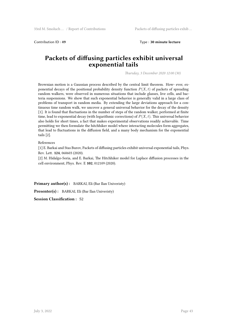```
Contribution ID : 49 Type : 30 minute lecture
```
#### **Packets of diffusing particles exhibit universal exponential tails**

*Thursday, 3 December 2020 12:00 (30)*

Brownian motion is a Gaussian process described by the central limit theorem. How- ever, exponential decays of the positional probability density function  $P(X, t)$  of packets of spreading random walkers, were observed in numerous situations that include glasses, live cells, and bacteria suspensions. We show that such exponential behavior is generally valid in a large class of problems of transport in random media. By extending the large deviations approach for a continuous time random walk, we uncover a general universal behavior for the decay of the density [1]. It is found that fluctuations in the number of steps of the random walker, performed at finite time, lead to exponential decay (with logarithmic corrections) of *P*(*X, t*). This universal behavior also holds for short times, a fact that makes experimental observations readily achievable. Time permitting we then formulate the hitchhiker model where interacting molecules form aggregates, that lead to fluctuations in the diffusion field, and a many body mechanism for the exponential tails [2].

#### References

[1] E. Barkai and Stas Burov, Packets of diffusing particles exhibit universal exponential tails, Phys. Rev. Lett. **124**, 060603 (2020).

[2] M. Hidalgo-Soria, and E. Barkai, The Hitchhiker model for Laplace diffusion processes in the cell environment, Phys. Rev. E **102**, 012109 (2020).

Primary author(s) : BARKAI, Eli (Bar Ilan Univeristy)

**Presenter(s) :** BARKAI, Eli (Bar Ilan Univeristy)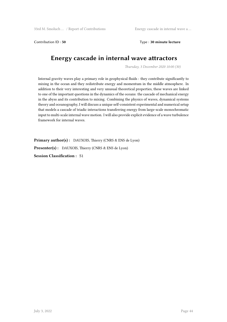Contribution ID : **50** Type : **30 minute lecture**

## **Energy cascade in internal wave attractors**

*Thursday, 3 December 2020 10:00 (30)*

Internal gravity waves play a primary role in geophysical fluids : they contribute significantly to mixing in the ocean and they redistribute energy and momentum in the middle atmosphere. In addition to their very interesting and very unusual theoretical properties, these waves are linked to one of the important questions in the dynamics of the oceans: the cascade of mechanical energy in the abyss and its contribution to mixing. Combining the physics of waves, dynamical systems theory and oceanography, I will discuss a unique self-consistent experimental and numerical setup that models a cascade of triadic interactions transferring energy from large-scale monochromatic input to multi-scale internal wave motion. I will also provide explicit evidence of a wave turbulence framework for internal waves.

**Primary author(s) :** DAUXOIS, Thierry (CNRS & ENS de Lyon)

**Presenter(s) :** DAUXOIS, Thierry (CNRS & ENS de Lyon)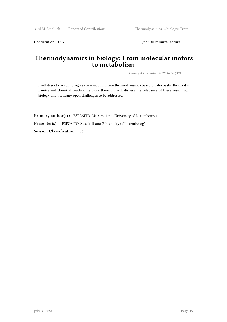Contribution ID : **51** Type : **30 minute lecture** 

#### **Thermodynamics in biology: From molecular motors to metabolism**

*Friday, 4 December 2020 16:00 (30)*

I will describe recent progress in nonequilibrium thermodynamics based on stochastic thermodynamics and chemical reaction network theory. I will discuss the relevance of these results for biology and the many open challenges to be addressed.

Primary author(s) : ESPOSITO, Massimiliano (University of Luxembourg) **Presenter(s) :** ESPOSITO, Massimiliano (University of Luxembourg) **Session Classification :** S6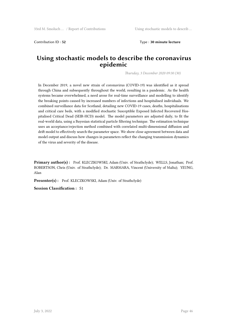Contribution ID : **52** Type : **30 minute lecture**

#### **Using stochastic models to describe the coronavirus epidemic**

*Thursday, 3 December 2020 09:30 (30)*

In December 2019, a novel new strain of coronavirus (COVID-19) was identified as it spread through China and subsequently throughout the world, resulting in a pandemic. As the health systems became overwhelmed, a need arose for real-time surveillance and modelling to identify the breaking points caused by increased numbers of infections and hospitalised individuals. We combined surveillance data for Scotland, detailing new COVID-19 cases, deaths, hospitalisations and critical care beds, with a modified stochastic Susceptible Exposed Infected Recovered Hospitalised Critical Dead (SEIR-HCD) model. The model parameters are adjusted daily, to fit the real-world data, using a Bayesian statistical particle filtering technique. The estimation technique uses an acceptance/rejection method combined with correlated multi-dimensional diffusion and drift model to effectively search the parameter space. We show close agreement between data and model output and discuss how changes in parameters reflect the changing transmission dynamics of the virus and severity of the disease.

**Primary author(s) :** Prof. KLECZKOWSKI, Adam (Univ. of Strathclyde); WELLS, Jonathan; Prof. ROBERTSON, Chris (Univ. of Strathclyde); Dr. MARMARA, Vincent (University of Malta); YEUNG, Alan

**Presenter(s) :** Prof. KLECZKOWSKI, Adam (Univ. of Strathclyde)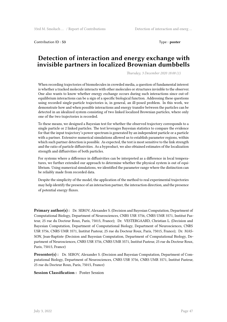Contribution ID : **53** Type : **poster** 

#### **Detection of interaction and energy exchange with invisible partners in localized Brownian dumbbells**

*Thursday, 3 December 2020 18:00 (1)*

When recording trajectories of biomolecules in crowded media, a question of fundamental interest is whether a tracked molecule interacts with other molecules or structures invisible to the observer. One also wants to know whether energy exchange occurs during such interactions since out-ofequilibrium interactions can be a sign of a specific biological function. Addressing these questions using recorded single-particle trajectories is, in general, an ill-posed problem. In this work, we demonstrate how and when possible interactions and energy transfer between the particles can be detected in an idealized system consisting of two linked localized Brownian particles, where only one of the two trajectories is recorded.

To these means, we designed a Bayesian test for whether the observed trajectory corresponds to a single particle or 2 linked particles. The test leverages Bayesian statistics to compare the evidence for that the input trajectory's power spectrum is generated by an independent particle or a particle with a partner. Extensive numerical simulations allowed us to establish parameter regions, within which such partner detection is possible. As expected, the test is most sensitive to the link strength and the ratio of particle diffusivities. As a byproduct, we also obtained estimates of the localization strength and diffusivities of both particles.

For systems where a difference in diffusivities can be interpreted as a difference in local temperatures, we further extended our approach to determine whether the physical system is out of equilibrium. Using numerical simulations, we identified the parameter range where the distinction can be reliably made from recorded data.

Despite the simplicity of the model, the application of the method to real experimental trajectories may help identify the presence of an interaction partner, the interaction direction, and the presence of potential energy fluxes.

**Primary author(s) :** Dr. SEROV, Alexander S. (Decision and Bayesian Computation, Department of Computational Biology, Department of Neurosciences, CNRS USR 3756, CNRS UMR 3571, Institut Pasteur, 25 rue du Docteur Roux, Paris, 75015, France); Dr. VESTERGAARD, Christian L. (Decision and Bayesian Computation, Department of Computational Biology, Department of Neurosciences, CNRS USR 3756, CNRS UMR 3571, Institut Pasteur, 25 rue du Docteur Roux, Paris, 75015, France); Dr. MAS-SON, Jean-Baptiste (Decision and Bayesian Computation, Department of Computational Biology, Department of Neurosciences, CNRS USR 3756, CNRS UMR 3571, Institut Pasteur, 25 rue du Docteur Roux, Paris, 75015, France)

**Presenter(s) :** Dr. SEROV, Alexander S. (Decision and Bayesian Computation, Department of Computational Biology, Department of Neurosciences, CNRS USR 3756, CNRS UMR 3571, Institut Pasteur, 25 rue du Docteur Roux, Paris, 75015, France)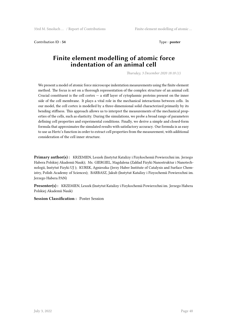Contribution ID: 54 Type : **poster** 

#### **Finite element modelling of atomic force indentation of an animal cell**

*Thursday, 3 December 2020 18:18 (1)*

We present a model of atomic force microscope indentation measurements using the finite element method. The focus is set on a thorough representation of the complex structure of an animal cell. Crucial constituent is the cell cortex  $-$  a stiff layer of cytoplasmic proteins present on the inner side of the cell membrane. It plays a vital role in the mechanical interactions between cells. In our model, the cell cortex is modelled by a three-dimensional solid characterized primarily by its bending stiffness. This approach allows us to interpret the measurements of the mechanical properties of the cells, such as elasticity. During the simulations, we probe a broad range of parameters defining cell properties and experimental conditions. Finally, we derive a simple and closed-form formula that approximates the simulated results with satisfactory accuracy. Our formula is as easy to use as Hertz's function in order to extract cell properties from the measurement, with additional consideration of the cell inner structure.

**Primary author(s) :** KRZEMIEN, Leszek (Instytut Katalizy i Fizykochemii Powierzchni im. Jerzego Habera Polskiej Akademii Nauk); Ms. GIERGIEL, Magdalena (Zakład Fizyki Nanostruktur i Nanotechnologii, Instytut Fizyki UJ ); KUREK, Agnieszka (Jerzy Haber Institute of Catalysis and Surface Chemistry, Polish Academy of Sciences); BARBASZ, Jakub (Instytut Katalizy i Fizyochemii Powierzchni im. Jerzego Habera PAN)

**Presenter(s) :** KRZEMIEN, Leszek (Instytut Katalizy i Fizykochemii Powierzchni im. Jerzego Habera Polskiej Akademii Nauk)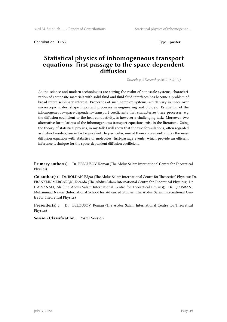Contribution ID : **55** Type : **poster** 

#### **Statistical physics of inhomogeneous transport equations: first passage to the space-dependent diffusion**

*Thursday, 3 December 2020 18:01 (1)*

As the science and modern technologies are seizing the realm of nanoscale systems, characterization of composite materials with solid-fluid and fluid-fluid interfaces has become a problem of broad interdisciplinary interest. Properties of such complex systems, which vary in space over microscopic scales, shape important processes in engineering and biology. Estimation of the inhomogeneous—space-dependent—transport coefficients that characterize these processes, e.g. the diffusion coefficient or the heat conductivity, is however a challenging task. Moreover, two alternative formulations of the inhomogeneous transport equations exist in the literature. Using the theory of statistical physics, in my talk I will show that the two formulations, often regarded as distinct models, are in fact equivalent. In particular, one of them conveniently links the mass diffusion equation with statistics of molecules' first-passage events, which provide an efficient inference technique for the space-dependent diffusion coefficient.

**Primary author(s):** Dr. BELOUSOV, Roman (The Abdus Salam International Centre for Theoretical Physics)

**Co-author(s) :** Dr. ROLDÁN, Edgar (The Abdus Salam International Centre for Theoretical Physics); Dr. FRANKLIN MERGAREJO, Ricardo (The Abdus Salam International Centre for Theoretical Physics); Dr. HASSANALI, Ali (The Abdus Salam International Centre for Theoretical Physics); Dr. QAISRANI, Muhammad Nawaz (International School for Advanced Studies, The Abdus Salam International Centre for Theoretical Physics)

**Presenter(s) :** Dr. BELOUSOV, Roman (The Abdus Salam International Centre for Theoretical Physics)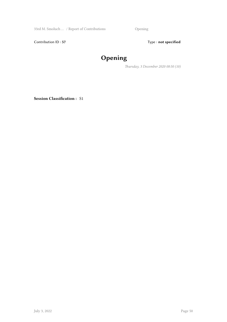33rd M. Smoluch … / Report of Contributions Opening

Contribution ID : 57 Type : **not specified** 

# **Opening**

*Thursday, 3 December 2020 08:50 (10)*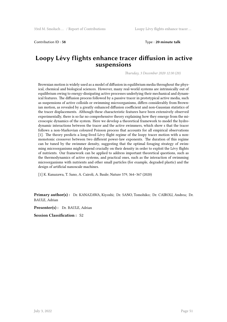Contribution ID : **58** Type : **20 minute talk**

#### **Loopy Lévy flights enhance tracer diffusion in active suspensions**

*Thursday, 3 December 2020 12:30 (20)*

Brownian motion is widely used as a model of diffusion in equilibrium media throughout the physical, chemical and biological sciences. However, many real-world systems are intrinsically out of equilibrium owing to energy-dissipating active processes underlying their mechanical and dynamical features. The diffusion process followed by a passive tracer in prototypical active media, such as suspensions of active colloids or swimming microorganisms, differs considerably from Brownian motion, as revealed by a greatly enhanced diffusion coefficient and non-Gaussian statistics of the tracer displacements. Although these characteristic features have been extensively observed experimentally, there is so far no comprehensive theory explaining how they emerge from the microscopic dynamics of the system. Here we develop a theoretical framework to model the hydrodynamic interactions between the tracer and the active swimmers, which show s that the tracer follows a non-Markovian coloured Poisson process that accounts for all empirical observations [1]. The theory predicts a long-lived Lévy flight regime of the loopy tracer motion with a nonmonotonic crossover between two different power-law exponents. The duration of this regime can be tuned by the swimmer density, suggesting that the optimal foraging strategy of swimming microorganisms might depend crucially on their density in order to exploit the Lévy flights of nutrients. Our framework can be applied to address important theoretical questions, such as the thermodynamics of active systems, and practical ones, such as the interaction of swimming microorganisms with nutrients and other small particles (for example, degraded plastic) and the design of artificial nanoscale machines.

[1] K. Kanazawa, T. Sano, A. Cairoli, A. Baule; Nature 579, 364–367 (2020)

**Primary author(s) :** Dr. KANAZAWA, Kiyoshi; Dr. SANO, Tomohiko; Dr. CAIROLI, Andrea; Dr. BAULE, Adrian

**Presenter(s) :** Dr. BAULE, Adrian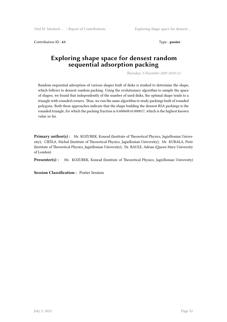Contribution ID: **61** Type: **poster** 

#### **Exploring shape space for densest random sequential adsorption packing**

*Thursday, 3 December 2020 18:03 (1)*

Random sequential adsorption of various shapes built of disks is studied to determine the shape, which follows to densest random packing. Using the evolutionary algorithm to sample the space of shapes, we found that independently of the number of used disks, the optimal shape tends to a triangle with rounded corners. Thus, we run the same algorithm to study packings built of rounded polygons. Both these approaches indicate that the shape building the densest RSA packings is the rounded triangle, for which the packing fraction is 0.600608±0.000017, which is the highest known value so far.

**Primary author(s) :** Mr. KOZUBEK, Konrad (Institute of Theoretical Physics, Jagiellonian University); CIEŚLA, Michal (Institute of Theoretical Physics, Jagiellonian University); Mr. KUBALA, Piotr (Institute of Theoretical Physics, Jagiellonian University); Dr. BAULE, Adrian (Queen Mary University of London)

**Presenter(s) :** Mr. KOZUBEK, Konrad (Institute of Theoretical Physics, Jagiellonian University)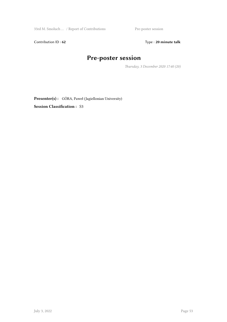33rd M. Smoluch … / Report of Contributions Pre-poster session

Contribution ID : 62 **Type** : 20 minute talk

# **Pre-poster session**

*Thursday, 3 December 2020 17:40 (20)*

**Presenter(s) :** GÓRA, Paweł (Jagiellonian University)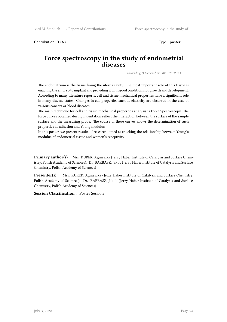Contribution ID: 63 Type : **poster** 

#### **Force spectroscopy in the study of endometrial diseases**

*Thursday, 3 December 2020 18:22 (1)*

The endometrium is the tissue lining the uterus cavity. The most important role of this tissue is enabling the embryo to implant and providing it with good conditions for growth and development. According to many literature reports, cell and tissue mechanical properties have a significant role in many disease states. Changes in cell properties such as elasticity are observed in the case of various cancers or blood diseases.

The main technique for cell and tissue mechanical properties analysis is Force Spectroscopy. The force curves obtained during indentation reflect the interaction between the surface of the sample surface and the measuring probe. The course of these curves allows the determination of such properties as adhesion and Young modulus.

In this poster, we present results of research aimed at checking the relationship between Young's modulus of endometrial tissue and women's receptivity.

**Primary author(s) :** Mrs. KUREK, Agnieszka (Jerzy Haber Institute of Catalysis and Surface Chemistry, Polish Academy of Sciences); Dr. BARBASZ, Jakub (Jerzy Haber Institute of Catalysis and Surface Chemistry, Polish Academy of Sciences)

**Presenter(s) :** Mrs. KUREK, Agnieszka (Jerzy Haber Institute of Catalysis and Surface Chemistry, Polish Academy of Sciences); Dr. BARBASZ, Jakub (Jerzy Haber Institute of Catalysis and Surface Chemistry, Polish Academy of Sciences)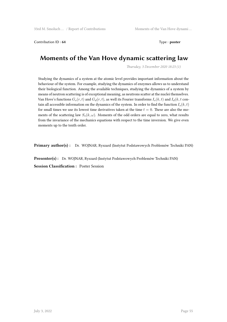Contribution ID: 64 Type : **poster** 

### **Moments of the Van Hove dynamic scattering law**

*Thursday, 3 December 2020 18:23 (1)*

Studying the dynamics of a system at the atomic level provides important information about the behaviour of the system. For example, studying the dynamics of enzymes allows us to understand their biological function. Among the available techniques, studying the dynamics of a system by means of neutron scattering is of exceptional meaning, as neutrons scatter at the nuclei themselves. Van Hove's functions  $G_s(r, t)$  and  $G_d(r, t)$ , as well its Fourier transforms  $I_s(k, t)$  and  $I_d(k, t)$  contain all accessible information on the dynamics of the system. In order to find the function  $I_s(k,t)$ for small times we use its lowest time derivatives taken at the time *t* = 0. These are also the moments of the scattering law  $S_8(k,\omega)$ . Moments of the odd orders are equal to zero, what results from the invariance of the mechanics equations with respect to the time inversion. We give even moments up to the tenth order.

**Primary author(s) :** Dr. WOJNAR, Ryszard (Instytut Podstawowych Problemów Techniki PAN)

**Presenter(s) :** Dr. WOJNAR, Ryszard (Instytut Podstawowych Problemów Techniki PAN) **Session Classification :** Poster Session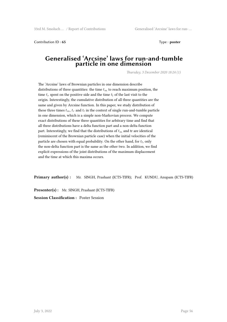Contribution ID: 65 Type : **poster** 

#### **Generalised 'Arcsine' laws for run-and-tumble particle in one dimension**

*Thursday, 3 December 2020 18:24 (1)*

The 'Arcsine' laws of Brownian particles in one dimension describe distributions of three quantities: the time  $t_m$  to reach maximum position, the time  $t_r$  spent on the positive side and the time  $t_l$  of the last visit to the origin. Interestingly, the cumulative distribution of all three quantities are the same and given by Arcsine function. In this paper, we study distribution of these three times  $t_m$ ,  $t_r$  and  $t_l$  in the context of single run-and-tumble particle in one dimension, which is a simple non-Markovian process. We compute exact distributions of these three quantities for arbitrary time and find that all three distributions have a delta function part and a non-delta function part. Interestingly, we find that the distributions of *t<sup>m</sup>* and tr are identical (reminiscent of the Brownian particle case) when the initial velocities of the particle are chosen with equal probability. On the other hand, for *t<sup>l</sup>* , only the non-delta function part is the same as the other two. In addition, we find explicit expressions of the joint distributions of the maximum displacement and the time at which this maxima occurs.

**Primary author(s) :** Mr. SINGH, Prashant (ICTS-TIFR); Prof. KUNDU, Anupam (ICTS-TIFR)

**Presenter(s) :** Mr. SINGH, Prashant (ICTS-TIFR) **Session Classification :** Poster Session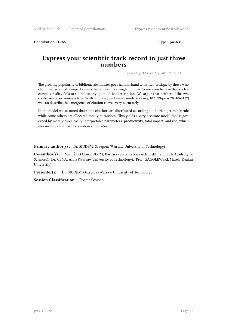Contribution ID: 66 Type : **poster** 

#### **Express your scientific track record in just three numbers**

*Thursday, 3 December 2020 18:25 (1)*

The growing popularity of bibliometric indexes goes hand in hand with their critique by those who claim that scientist's impact cannot be reduced to a single number. Some even believe that such a complex reality fails to submit to any quantitative description. We argue that neither of the two controversial extremes is true. With our new agent-based model (doi.org/10.1073/pnas.2001064117) we can describe the emergence of citation curves very accurately.

In the model we assumed that some citations are distributed according to the rich get richer rule while some others are allocated totally at random. This yields a very accurate model that is governed by merely three easily interpretable parameters: productivity, total impact, and rho, which measures preferential vs. random rules ratio..

**Primary author(s) :** Dr. SIUDEM, Grzegorz (Warsaw University of Technology)

**Co-author(s) :** Mrs. ŻOGAŁA-SIUDEM, Barbara (Systems Research Institute, Polish Academy of Sciences); Dr. CENA, Anna (Warsaw University of Technology); Prof. GAGOLEWSKI, Marek (Deakin Universtiy)

**Presenter(s) :** Dr. SIUDEM, Grzegorz (Warsaw University of Technology)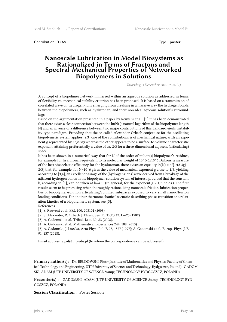Contribution ID : **68** Type : **poster** 

#### **Nanoscale Lubrication in Model Biosystems as Rationalized in Terms of Fractons and Spectral-Mechanical Properties of Networked Biopolymers in Solutions**

*Thursday, 3 December 2020 18:26 (1)*

A concept of a biopolimer network immersed within an aqueous solution as addressed in terms of flexibility vs. mechanical stability criterion has been proposed. It is based on a transmission of correlated wave of (hydrogen) ions emerging from breaking in a massive way the hydrogen bonds between the biopolymers, such as hyaluronan, and their non-ideal aqueous solution's surroundings.

Based on the argumentation presented in a paper by Reuveni et al. [1] it has been demonstrated that there exists a clear connection between the ln(N) (a natural logarithm of the biopolymer length N) and an inverse of a difference between two major contributions of this Landau-Peierls instability type paradigm. Providing that the so-called Alexander-Orbach conjecture for the oscillating biopolymeric system applies [2,3] one of the contributions is of mechanical nature, with an exponent g represented by 1/(2-3g) whereas the other appears to be a surface-to-volume characteristic exponent, attaining preferentially a value of ca. 2/3 for a three-dimensional adjacent (articulating) space.

It has been shown in a numerical way that for N of the order of milion(s) biopolymer's residues, for example for hyaluronan equivalent to its molecular weight of 10^6-6x10^6 Daltons, a measure of the best viscoelastic efficiency for the hyaluronan, there exists an equality  $ln(N) = b/[1/(2-3g) 2/3$ ] that, for example, for N=10^6 gives the value of mechanical exponent g close to 1/3, yielding according to [3,4], an excellent passage of the (hydrogen) ions' wave derived from a breakage of the adjacent hydrogen bonds in the biopolymer-solution system of interest, provided that the constant b, according to [1], can be taken at b=4.5. (In general, for the exponent  $g > 1/6$  holds.) The first results seem to be promising when thoroughly rationalizing nanoscale friction-lubrication properties of biopolymer-solution articulating/confined subspaces exposed to very small nano-Newton loading conditions. For another thermomechanical scenario describing phase-transition and relaxation kinetics of a biopolymeric system, see [5].

References [1] S. Reuveni et al. PRL 100, 208101 (2008).

[2] S. Alexander, R. Orbach J. Physique-LETTRES 43, L-625 (1982).

[3] A. Gadomski et al. Tribol. Lett. 30, 83 (2008).

[4] A. Gadomski et al. Mathematical Biosciences 244, 188 (2013) .

[5] A. Gadomski, J. Łuczka, Acta Phys. Pol. B 28, 1827 (1997); A. Gadomski et al. Europ. Phys. J. B 91, 237 (2018).

Email address: agad@utp.edu.pl (to whom the correspondence can be addressed).

**Primary author(s) :** Dr. BEŁDOWSKI, Piotr (Institute of Mathematics and Physics, Faculty of Chemical Technology and Engineering, UTP University of Science and Technology, Bydgoszcz, Poland); GADOM-SKI, ADAM (UTP UNIVERSITY OF SCIENCE & amp; TECHNOLOGY BYDGOSZCZ, POLAND)

**Presenter(s) :** GADOMSKI, ADAM (UTP UNIVERSITY OF SCIENCE & amp; TECHNOLOGY BYD-GOSZCZ, POLAND)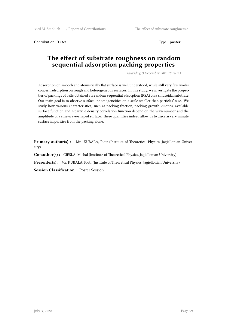Contribution ID: 69 Type : **poster** 

#### **The effect of substrate roughness on random sequential adsorption packing properties**

*Thursday, 3 December 2020 18:26 (1)*

Adsorption on smooth and atomistically flat surface is well understood, while still very few works concern adsorption on rough and heterogeneous surfaces. In this study, we investigate the properties of packings of balls obtained via random sequential adsorption (RSA) on a sinusoidal substrate. Our main goal is to observe surface inhomogeneities on a scale smaller than particles' size. We study how various characteristics, such as packing fraction, packing growth kinetics, available surface function and 2-particle density correlation function depend on the wavenumber and the amplitude of a sine-wave-shaped surface. These quantities indeed allow us to discern very minute surface impurities from the packing alone.

**Primary author(s) :** Mr. KUBALA, Piotr (Institute of Theoretical Physics, Jagiellonian University)

**Co-author(s) :** CIESLA, Michal (Institute of Theoretical Physics, Jagiellonian University)

**Presenter(s):** Mr. KUBALA, Piotr (Institute of Theoretical Physics, Jagiellonian University)